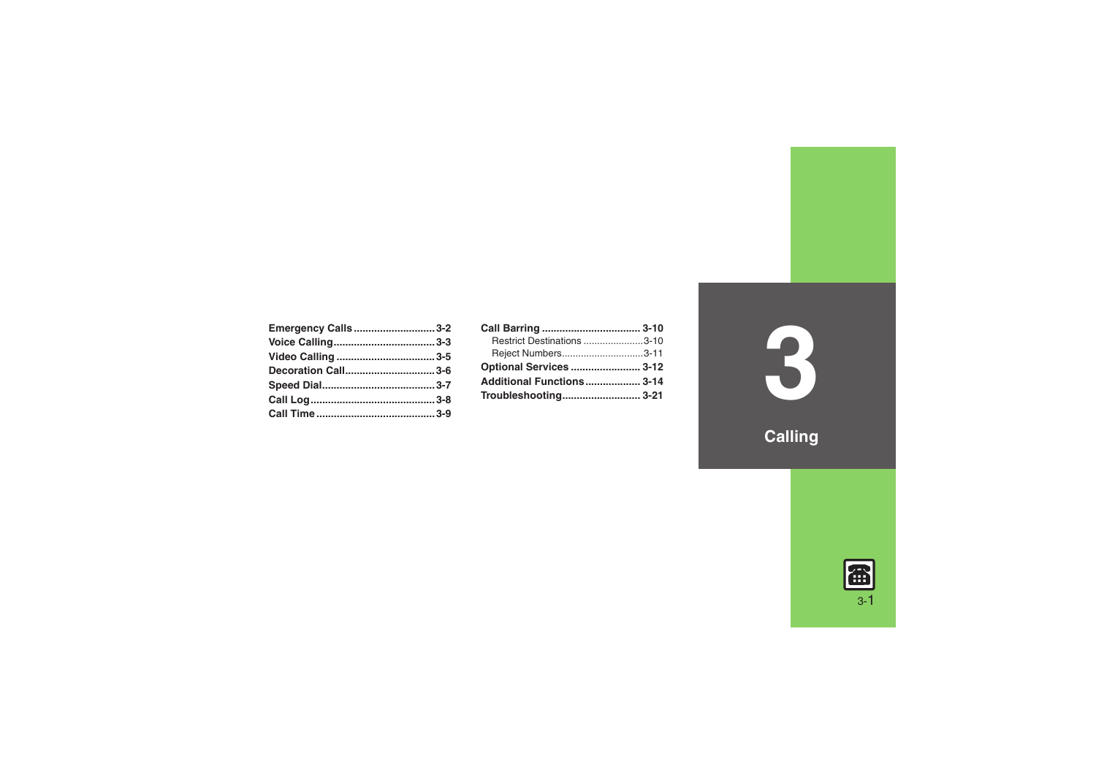| Emergency Calls3-2 |  |
|--------------------|--|
|                    |  |
|                    |  |
| Decoration Call3-6 |  |
|                    |  |
|                    |  |
|                    |  |

| Call Barring  3-10             |  |
|--------------------------------|--|
| Restrict Destinations 3-10     |  |
| Reject Numbers3-11             |  |
| <b>Optional Services  3-12</b> |  |
| Additional Functions 3-14      |  |
|                                |  |

**3**

**Calling**

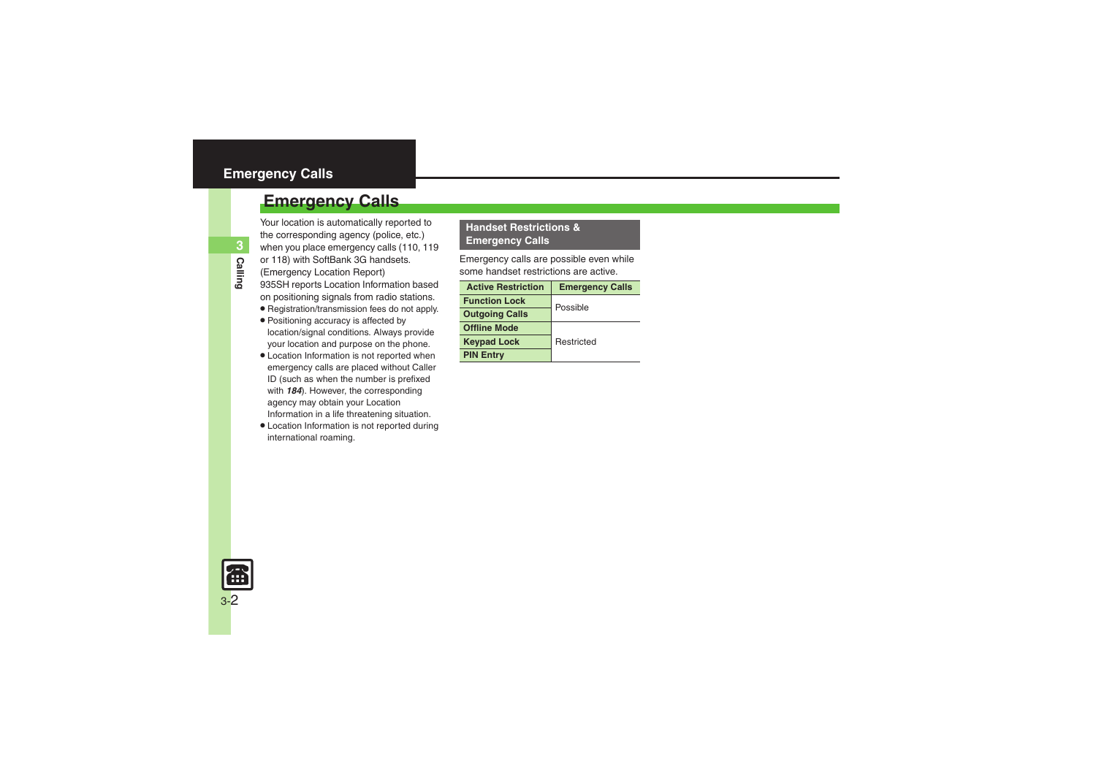### <span id="page-1-0"></span>**Emergency Calls**

Your location is automatically reported to the corresponding agency (police, etc.) when you place emergency calls (110, 119 or 118) with SoftBank 3G handsets.

- (Emergency Location Report)
- 935SH reports Location Information based on positioning signals from radio stations.
- . Registration/transmission fees do not apply.
- . Positioning accuracy is affected by location/signal conditions. Always provide your location and purpose on the phone.
- . Location Information is not reported when emergency calls are placed without Caller ID (such as when the number is prefixed with *184*). However, the corresponding agency may obtain your Location Information in a life threatening situation.
- . Location Information is not reported during international roaming.

### **Handset Restrictions & Emergency Calls**

Emergency calls are possible even while some handset restrictions are active.

| <b>Active Restriction</b> | <b>Emergency Calls</b> |  |
|---------------------------|------------------------|--|
| <b>Function Lock</b>      | Possible               |  |
| <b>Outgoing Calls</b>     |                        |  |
| <b>Offline Mode</b>       |                        |  |
| <b>Keypad Lock</b>        | Restricted             |  |
| <b>PIN Entry</b>          |                        |  |

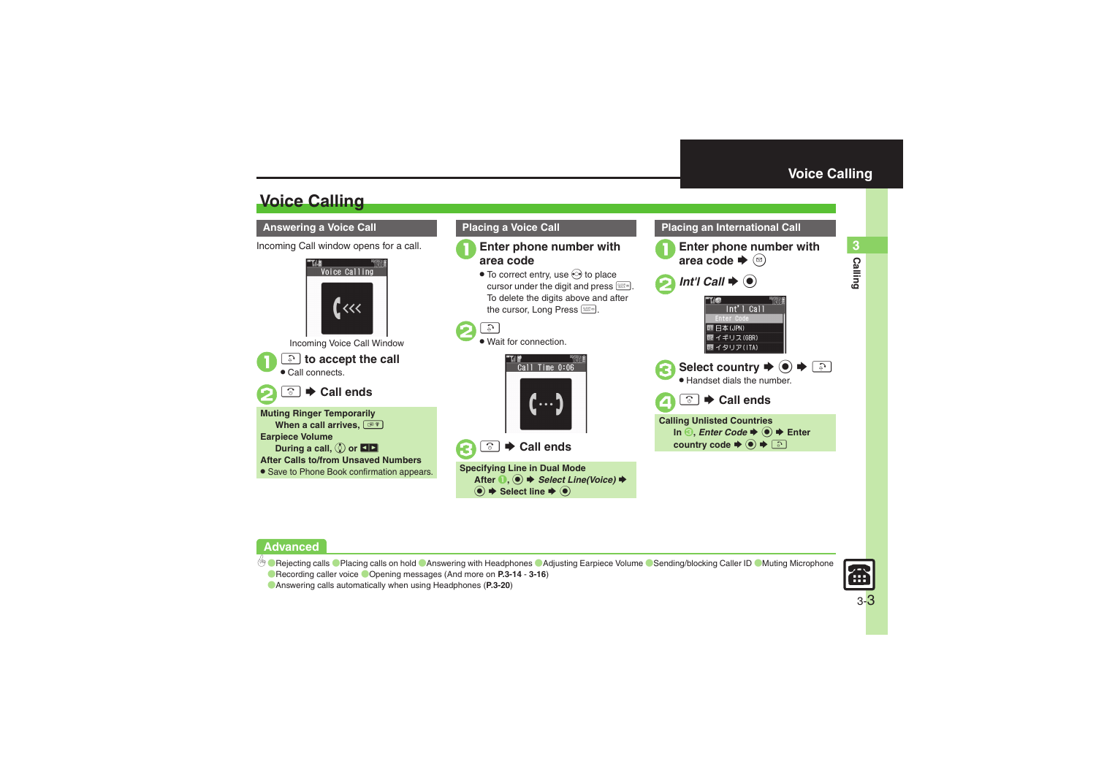**Calling 3**

Calling

## **Voice Calling**

### <span id="page-2-2"></span>**Answering a Voice Call**

Incoming Call window opens for a call.



### <span id="page-2-1"></span>**Placing a Voice Call**

# 1**Enter phone number with area code**

 $\bullet$  To correct entry, use  $\odot$  to place cursor under the digit and press  $\mathbb{R}$ . To delete the digits above and after the cursor, Long Press



. Wait for connection.





**Specifying Line in Dual Mode** After **1**, ● **Select Line(Voice)** ◆ % S **Select line**  S%

### **Enter phone number with**  $\blacktriangleright$   $\circledcirc$  $2$  *Int'l Call*  $\rightarrow$   $\odot$  $Int'$   $1$   $Call$ **TTI 日本(JPN) 匣 イギリス(GBR)** ■イタリア(ITA)  $\bullet$  Select country  $\bullet$   $\bullet$   $\circ$ . Handset dials the number.  $\boldsymbol{\Theta}$ **<b><u>O</u>**  $\rightarrow$  Call ends

<span id="page-2-0"></span>**Placing an International Call**

**Calling Unlisted Countries In** *S*, *Enter Code*  $\blacktriangleright$  **● Enter country code**  $\blacktriangleright$  $\textcircled{\tiny{\bullet}}$  $\blacktriangleright$  $\textcircled{\tiny{\bullet}}$ 

### **Advanced**

b O[Rejecting calls](#page-13-1) O[Placing calls on hold](#page-13-2) C[Answering with Headphones](#page-13-3) C[Adjusting Earpiece Volume](#page-14-0) C[Sending/blocking Caller ID](#page-14-1) CMuting Microphone **• [Recording caller voice](#page-15-0) • [Opening messages](#page-15-1) (And more on [P.3-14](#page-13-1) - [3-16](#page-15-1))** 



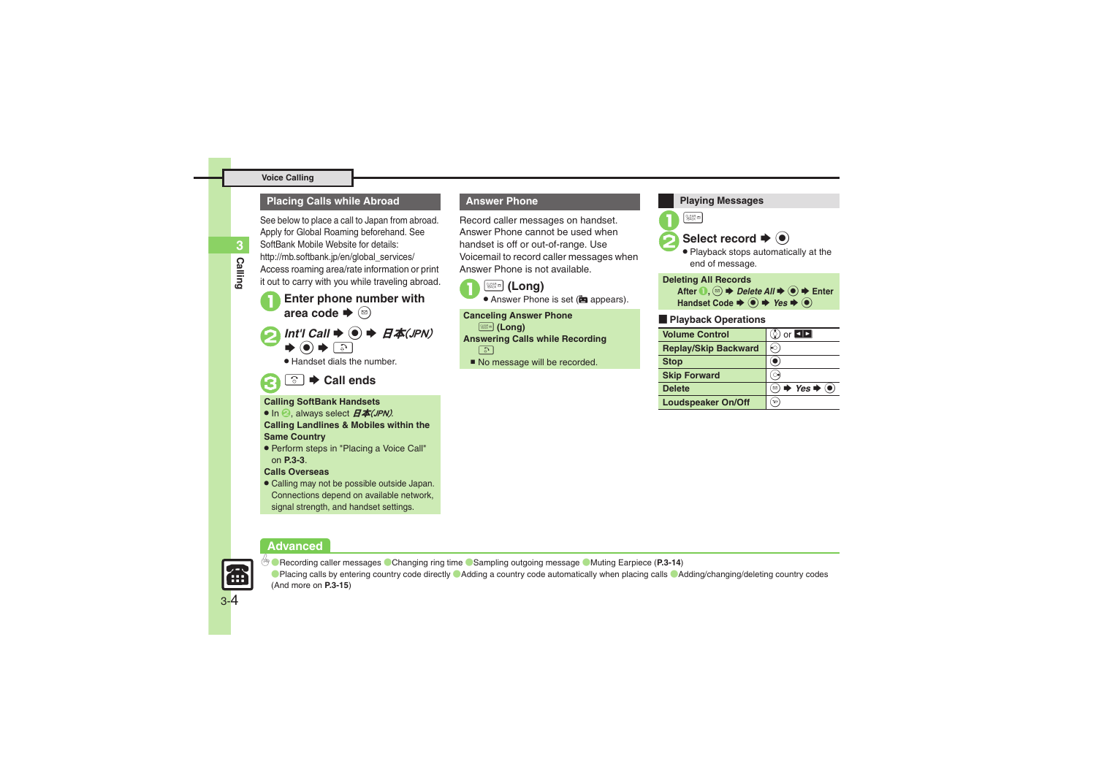#### **Voice Calling**

### **Placing Calls while Abroad**

See below to place a call to Japan from abroad. Apply for Global Roaming beforehand. See SoftBank Mobile Website for details: http://mb.softbank.jp/en/global\_services/ Access roaming area/rate information or print it out to carry with you while traveling abroad.

**Enter phone number with** area code  $\blacktriangleright$   $\textcircled{\scriptsize{\textsf{B}}}$ 

*Int'l Call*  $\rightarrow$  **◎**  $\rightarrow$   $H\text{*}$  *A*(*JPN*)  $\blacktriangleright$  (e)  $\blacktriangleright$  [a]

. Handset dials the number.

### 3"S **Call ends**

#### **Calling SoftBank Handsets**

- In  $\Theta$ , always select  $H$ 本(JPN).
- **Calling Landlines & Mobiles within the Same Country**
- . Perform steps in "Placing a Voice Call" on **[P.3-3](#page-2-1)**.

### **Calls Overseas**

. Calling may not be possible outside Japan. Connections depend on available network, signal strength, and handset settings.

### **Answer Phone**

Record caller messages on handset. Answer Phone cannot be used when handset is off or out-of-range. Use Voicemail to record caller messages when Answer Phone is not available.





**Canceling Answer Phone** \$ **(Long) Answering Calls while Recording**  $\Box$ 

No message will be recorded.



### **Advanced**



3-4

0([Recording caller messages](#page-13-4) ([Changing ring time](#page-13-5) ([Sampling outgoing message](#page-13-6) ([Muting Earpiece](#page-13-7) (**[P.3-14](#page-13-7)**) **[Placing calls by entering country code directly](#page-14-3) [Adding a country code automatically when placing calls](#page-14-4) [Adding/changing/deleting country codes](#page-14-5)** (And more on **[P.3-15](#page-14-5)**)

**Calling**

**3**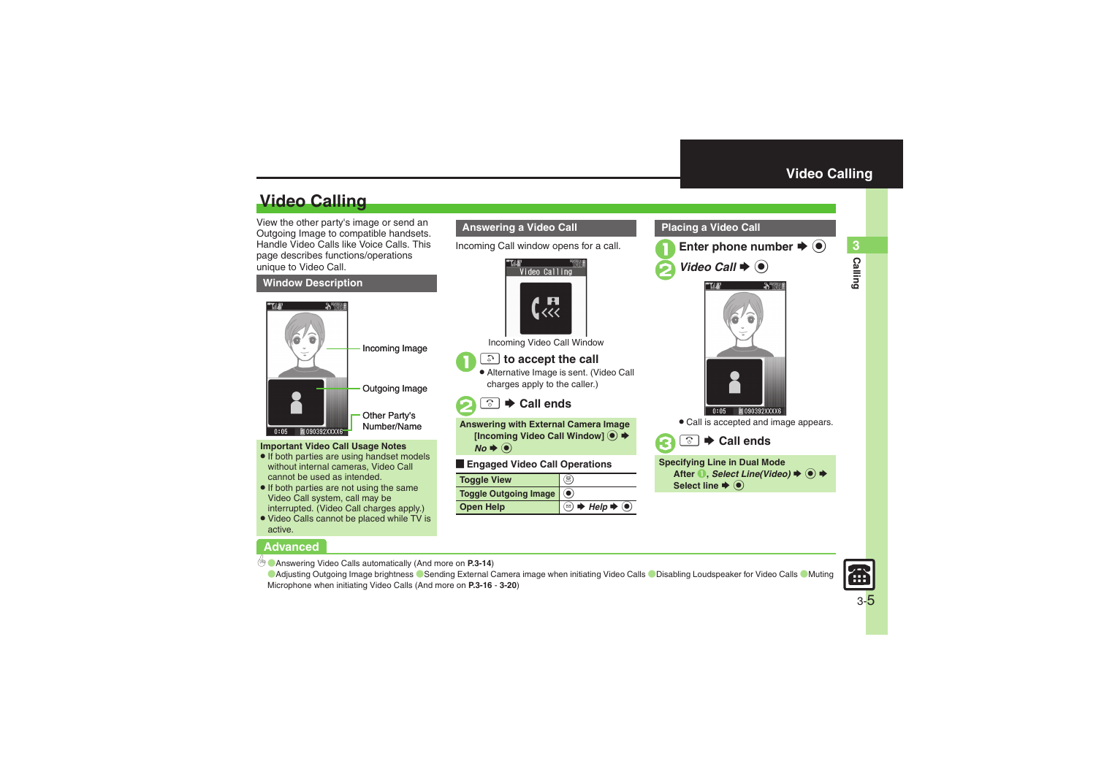## **Video Calling**

View the other party's image or send an Outgoing Image to compatible handsets. Handle Video Calls like Voice Calls. This page describes functions/operations unique to Video Call.

### **Window Description**



### **Important Video Call Usage Notes**

- If both parties are using handset models without internal cameras, Video Call cannot be used as intended.
- If both parties are not using the same Video Call system, call may be interrupted. (Video Call charges apply.)
- . Video Calls cannot be placed while TV is active.

### **Advanced**

0([Answering Video Calls automatically](#page-13-8) (And more on **[P.3-14](#page-13-8)**)

**[Adjusting Outgoing Image brightness](#page-15-2) [Sending External Camera image when initiating Video Calls](#page-19-1) C [Disabling Loudspeaker for Video Calls](#page-19-2) C Muting** [Microphone when initiating Video Calls](#page-19-3) (And more on **[P.3-16](#page-15-2)** - **[3-20](#page-19-3)**)



Incoming Call window opens for a call.



Incoming Video Call Window

### ! **to accept the call**

 $\mathbf 0$ 

 $\boldsymbol{\Theta}$ 

. Alternative Image is sent. (Video Call charges apply to the caller.)

#### $\boxed{\mathbf{\hat{c}}}$  $\rightarrow$  **Call ends**

**Answering with External Camera Image** [Incoming Video Call Window] **● ◆** *No*  $\blacklozenge$ 

[ **Engaged Video Call Operations**

| <b>Toggle View</b>        |                                                                                                         |
|---------------------------|---------------------------------------------------------------------------------------------------------|
| Toggle Outgoing Image (0) |                                                                                                         |
| <b>Open Help</b>          | <b><sup><b></b></sup> <math>\Rightarrow</math> Help <math>\Rightarrow</math> (<math>\bullet</math>)</b> |

### <span id="page-4-0"></span>**Placing a Video Call**





. Call is accepted and image appears.



**Specifying Line in Dual Mode** After **1**, *Select Line(Video)* → <sup>●</sup> →

**Select line**  $\blacklozenge$  $\textcircled{\scriptsize{}}$ 

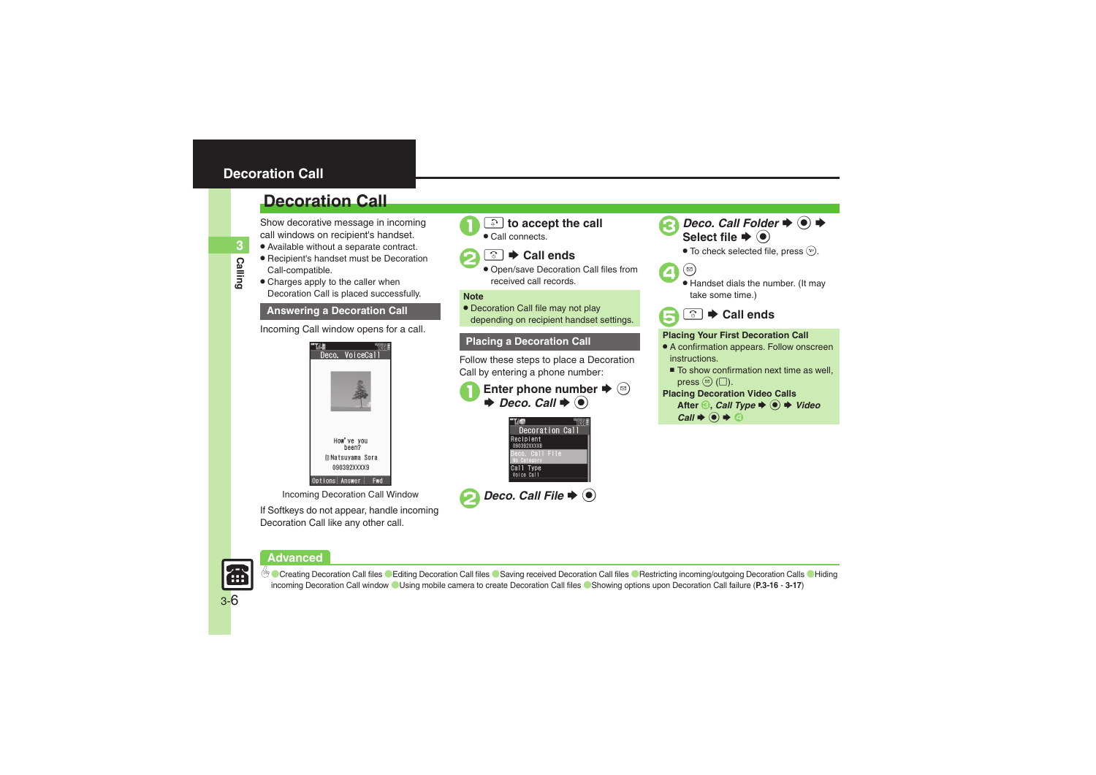### <span id="page-5-0"></span>**Decoration Call**

**Calling**

**3**

### **Decoration Call**

Show decorative message in incoming call windows on recipient's handset.

- . Available without a separate contract.
- . Recipient's handset must be Decoration Call-compatible.
- Charges apply to the caller when Decoration Call is placed successfully.

### **Answering a Decoration Call**

Incoming Call window opens for a call.



Incoming Decoration Call Window

If Softkeys do not appear, handle incoming Decoration Call like any other call.







 Open/save Decoration Call files from received call records.

#### **Note**

• Decoration Call file may not play depending on recipient handset settings.

Follow these steps to place a Decoration Call by entering a phone number:





*Deco. Call File*  $\blacklozenge$   $\blacklozenge$ 

*Deco. Call Folder*  $\rightarrow$  <sup>●</sup>)  $\rightarrow$ 



 $\bullet$  To check selected file, press  $\circledcirc$ .







### **Placing a Decoration Call <b>Placing Your First Decoration Call**

- A confirmation appears. Follow onscreen instructions.
	- To show confirmation next time as well, press  $\circledcirc$  ( $\Box$ ).

### **Placing Decoration Video Calls**

After  $\odot$ , *Call Type*  $\rightarrow$   $\odot$   $\rightarrow$  *Video*  $Call \blacktriangleright @ \blacktriangleright @$ 





© [Creating Decoration Call files](#page-15-3) Caditing Decoration Call files C[Saving received Decoration Call files](#page-15-5) C[Restricting incoming/outgoing Decoration Calls](#page-15-6) CHiding [incoming Decoration Call window](#page-15-7) ([Using mobile camera to create Decoration Call files](#page-16-0) ([Showing options upon Decoration Call failure](#page-16-1) (**[P.3-16](#page-15-3)** - **[3-17](#page-16-1)**)

3-6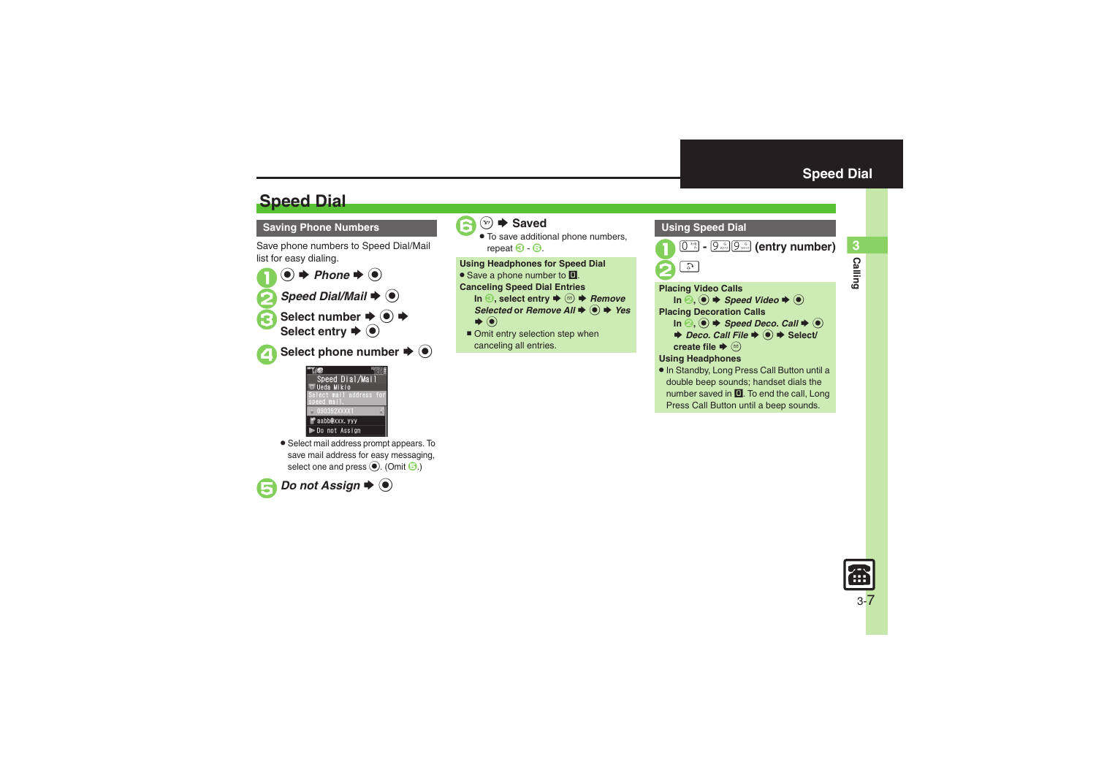**Calling 3**

**Calling** 

### **Speed Dial**

### **Saving Phone Numbers**

Save phone numbers to Speed Dial/Mail list for easy dialing.

 $\mathbf 0$  $\odot \bullet$  Phone  $\bullet$   $\odot$ **2** Speed Dial/Mail  $\blacktriangleright$  <sup>0</sup> Select number  $\rightarrow$  <sup>O</sup> Select entry  $\blacklozenge$ ▲ Select phone number **→** ●



. Select mail address prompt appears. To save mail address for easy messaging, select one and press (e). (Omit 3.)





**<del>⊙</del>**  $\blacktriangleright$  **Saved** 

. To save additional phone numbers, repeat  $\Theta$  -  $\Theta$ .  $\overline{6}$  -  $\overline{6}$ .

**Using Headphones for Speed Dial** • Save a phone number to **I**.

**Canceling Speed Dial Entries**

- **In ☉, select entry**  $\blacklozenge$  **֎** *Remove Selected* or *Remove All*  $\blacklozenge$  **O**  $\blacktriangleright$  *Yes*  $\blacktriangleright$   $\odot$
- Omit entry selection step when canceling all entries.

<span id="page-6-0"></span>

Press Call Button until a beep sounds.

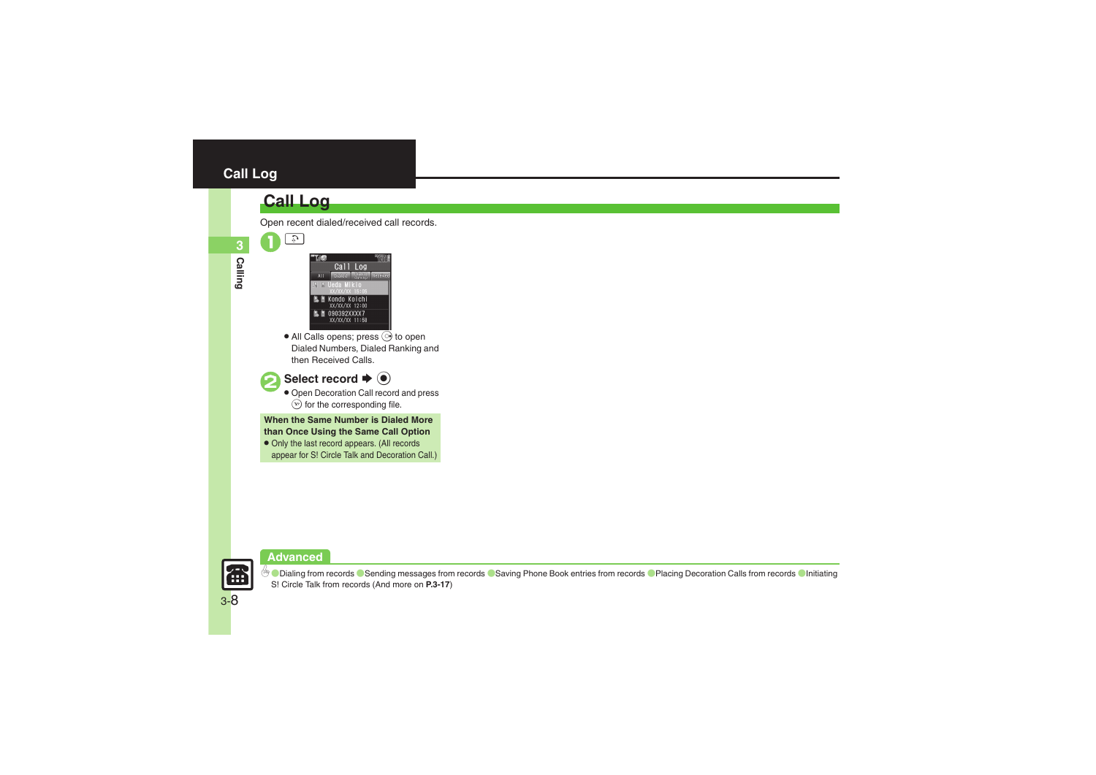### <span id="page-7-0"></span>**Call Log**

### **Call Log**

 $\mathcal{L}_3$ 

- $Call$   $0q$ **Chains** Kondo Koichi<br>xx/xx/xx 12:00 **L** 090392XXXX7 XX/XX/XX 11:58
- $\bullet$  All Calls opens; press  $\odot$  to open Dialed Numbers, Dialed Ranking and then Received Calls.





 Open Decoration Call record and press  $\circledcirc$  for the corresponding file.

**When the Same Number is Dialed More than Once Using the Same Call Option**

• Only the last record appears. (All records appear for S! Circle Talk and Decoration Call.)

**Advanced**



**<sup>6</sup>** [Dialing from records](#page-16-2) Csending messages from records Csaving Phone Book entries from records Chacing Decoration Calls from records CInitiating S! [Circle Talk from records](#page-16-6) (And more on **[P.3-17](#page-16-2)**)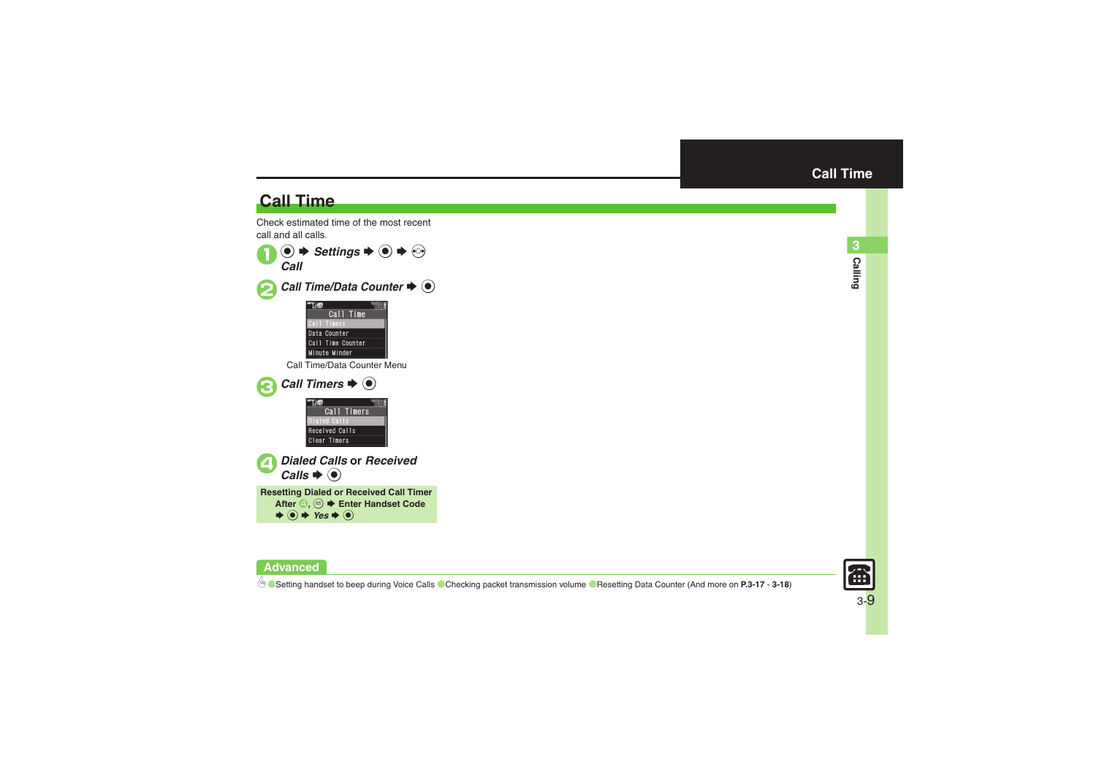### **Call Time**

**Advanced**

Check estimated time of the most recent call and all calls.



<span id="page-8-0"></span>

**6** [Setting handset to beep during Voice Calls](#page-16-7) [Checking packet transmission volume](#page-17-0) C[Resetting Data Counter](#page-17-1) (And more on [P.3-17](#page-16-7) - [3-18](#page-17-1))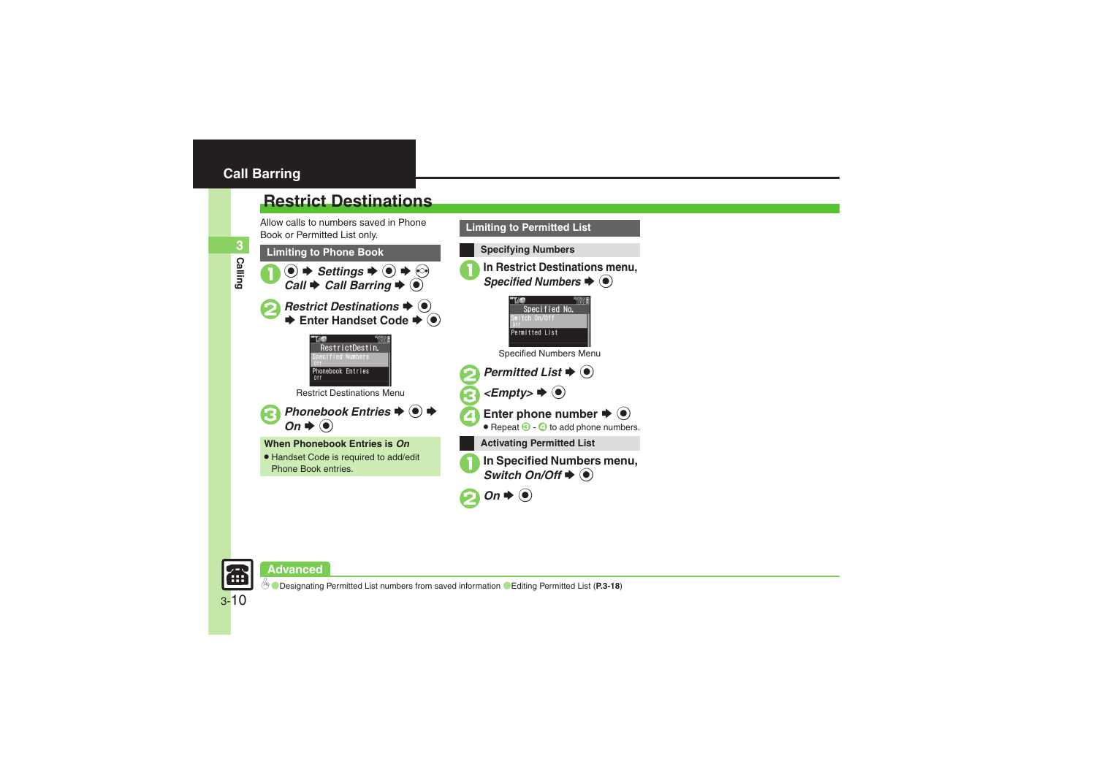### <span id="page-9-1"></span><span id="page-9-0"></span>**Restrict Destinations**

Allow calls to numbers saved in Phone Book or Permitted List only.





**Advanced**

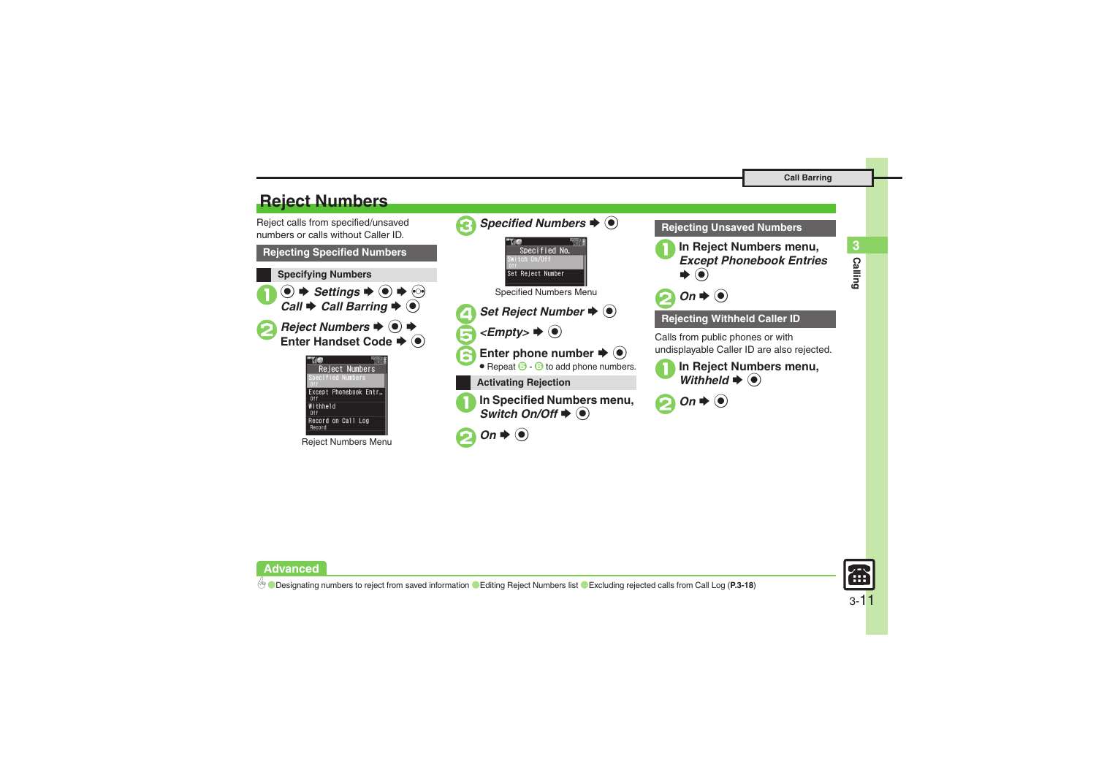### <span id="page-10-0"></span>**Reject Numbers**

Reject calls from specified/unsaved numbers or calls without Caller ID.**Rejecting Specified Numbers Specifying Numbers**  $\mathbf 0$  $\circledcirc$   $\Rightarrow$  *Settings*  $\Rightarrow$   $\circledcirc$   $\Rightarrow$   $\circledcirc$ *Call*  $\rightarrow$  *Call Barring*  $\rightarrow$  <sup>●</sup> **2** Reject Numbers **→ 0** → **Enter Handset Code**  $\blacklozenge$ **Reject Numbers** ecified Numbers Except Phonebook Entr...  $n +$ Withheld Record on Call Log Record

Reject Numbers Menu



### **Rejecting Unsaved Numbers**





### **Rejecting Withheld Caller ID**

Calls from public phones or with undisplayable Caller ID are also rejected.

**In Reject Numbers menu,**  $\blacktriangleright$   $\textcircled{\scriptsize{}}$ 

**Advanced**

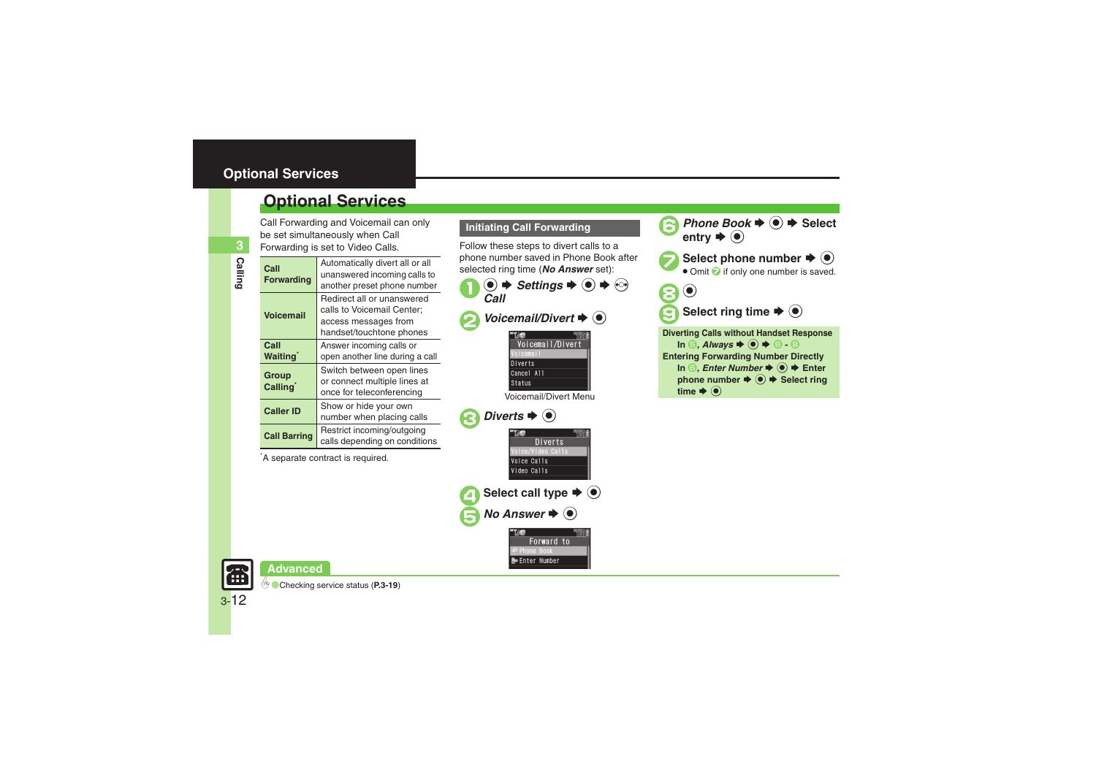### <span id="page-11-0"></span>**Optional Services**

Call Forwarding and Voicemail can only be set simultaneously when Call

| ā | Call<br>Forwardi |
|---|------------------|
|   | <b>Voicema</b>   |
|   | Call             |

**3**

| Forwarding is set to Video Calls. |                                                                                                              |  |
|-----------------------------------|--------------------------------------------------------------------------------------------------------------|--|
| Call<br><b>Forwarding</b>         | Automatically divert all or all<br>unanswered incoming calls to<br>another preset phone number               |  |
| <b>Voicemail</b>                  | Redirect all or unanswered<br>calls to Voicemail Center:<br>access messages from<br>handset/touchtone phones |  |
| Call<br><b>Waiting</b>            | Answer incoming calls or<br>open another line during a call                                                  |  |
| Group<br>Calling <sup>®</sup>     | Switch between open lines<br>or connect multiple lines at<br>once for teleconferencing                       |  |
| <b>Caller ID</b>                  | Show or hide your own<br>number when placing calls                                                           |  |
| <b>Call Barring</b>               | Restrict incoming/outgoing<br>calls depending on conditions                                                  |  |

\*A separate contract is required.

### **Initiating Call Forwarding**

Follow these steps to divert calls to a phone number saved in Phone Book after selected ring time (*No Answer* set):



Select call type  $\Rightarrow$   $\bullet$ *No Answer*  $\blacklozenge$   $\odot$ 

> Forward to **FPhone Book Me Enter Number**

oice/Video Calls Voice Calls Video Calls

**Phone Book**  $\Rightarrow$  **Select** entry  $\Rightarrow$  **(e)** Select phone number  $\blacktriangleright$   $\blacklozenge$  $\bullet$  Omit  $\bullet$  if only one number is saved. 8 Q Select ring time  $\blacktriangleright$   $\blacklozenge$ **Diverting Calls without Handset Response**  $\Box$  **In**  $\odot$ **, Always**  $\blacklozenge$   $\odot$   $\blacklozenge$   $\odot$   $\odot$   $\odot$ **Entering Forwarding Number Directly In ∂,** *Enter Number* $\rightarrow$ *●* **<b>Enter phone number**  $\Rightarrow$  $\circledcirc$  $\Rightarrow$  **Select ring** time  $\blacklozenge$   $\textcircled{\scriptsize\bullet}$ 

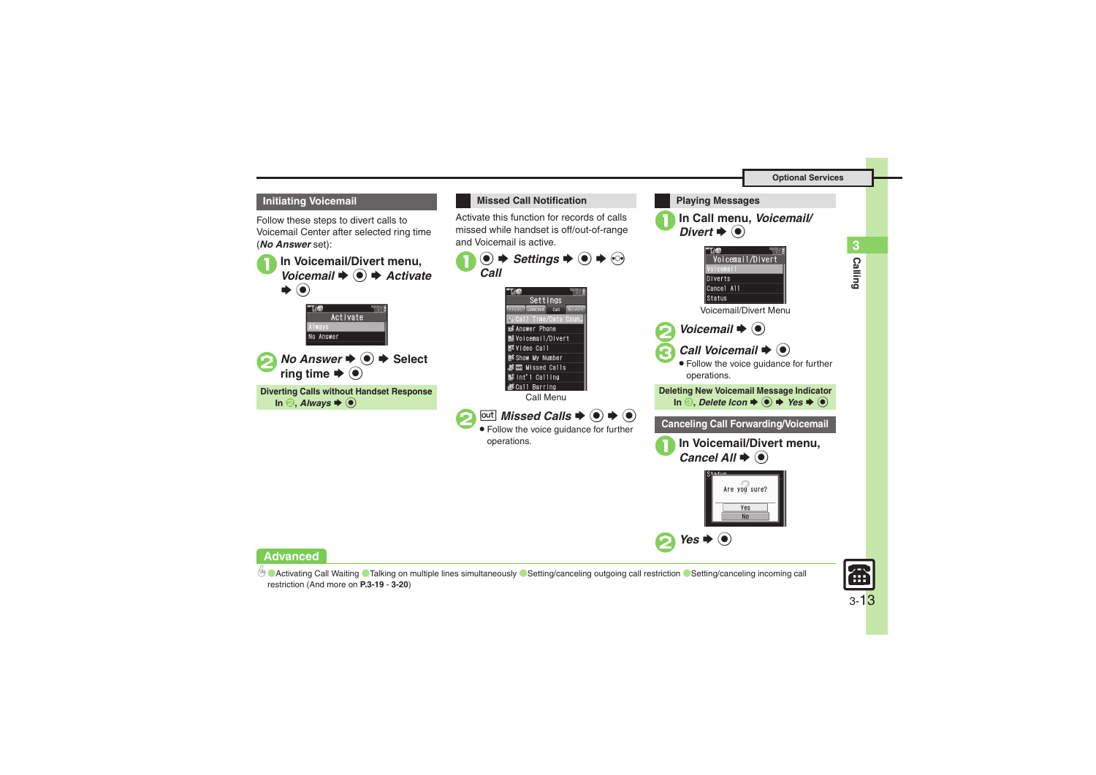**Calling 3**

**Calling** 



b **[Activating Call Waiting](#page-18-1) [Talking on multiple lines simultaneously](#page-18-2) C[Setting/canceling outgoing call restriction](#page-18-3) CSetting/canceling incoming call** [restriction](#page-19-4) (And more on **[P.3-19](#page-18-1)** - **[3-20](#page-19-4)**)

3-13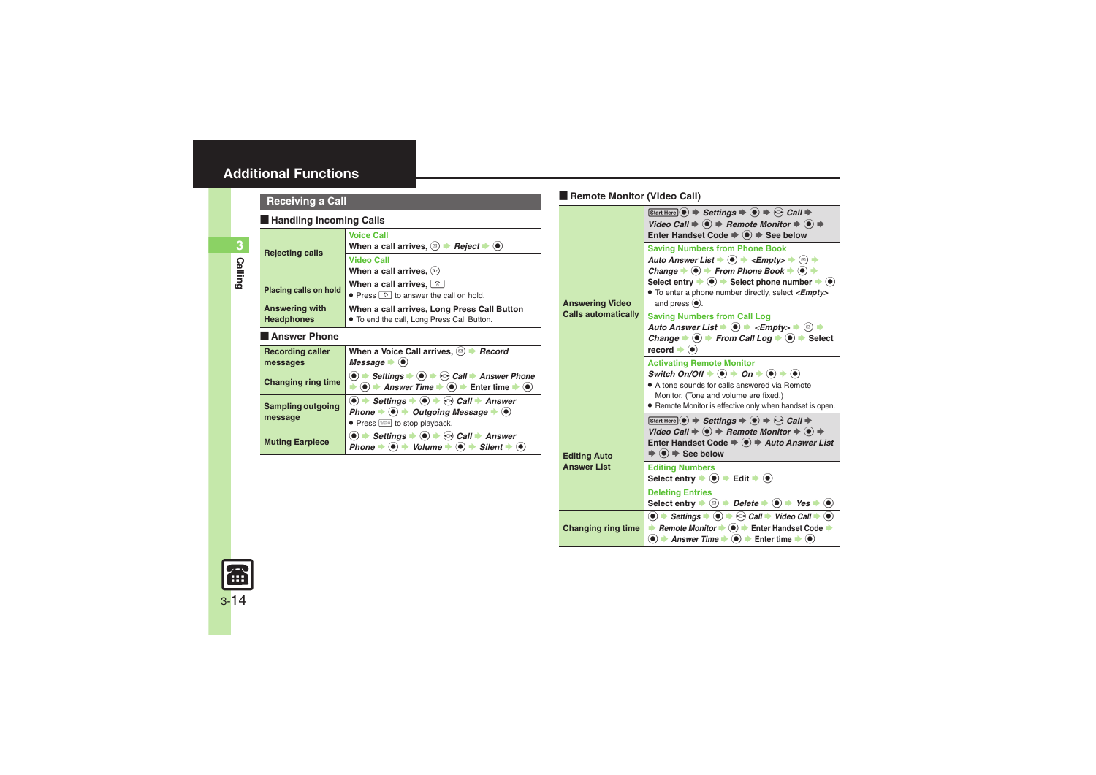<span id="page-13-4"></span><span id="page-13-3"></span><span id="page-13-2"></span><span id="page-13-1"></span><span id="page-13-0"></span>

|                         | <b>Receiving a Call</b>             |                                                                                                                                                                                                                                                                                                                                                                                   |                            | Remote Monitor (Video Call)                                                                                                                                                                                                                                                                                                                                                                                                                                             |  |
|-------------------------|-------------------------------------|-----------------------------------------------------------------------------------------------------------------------------------------------------------------------------------------------------------------------------------------------------------------------------------------------------------------------------------------------------------------------------------|----------------------------|-------------------------------------------------------------------------------------------------------------------------------------------------------------------------------------------------------------------------------------------------------------------------------------------------------------------------------------------------------------------------------------------------------------------------------------------------------------------------|--|
|                         | Handling Incoming Calls             |                                                                                                                                                                                                                                                                                                                                                                                   |                            | Start Here $\odot$ $\Rightarrow$ Settings $\Rightarrow$ $\odot$ $\Rightarrow$ $\odot$ Call $\Rightarrow$<br>Video Call $\Rightarrow$ ( $\bullet$ ) $\Rightarrow$ Remote Monitor $\Rightarrow$ ( $\bullet$ ) $\Rightarrow$                                                                                                                                                                                                                                               |  |
| $\mathbf{3}$<br>Calling | <b>Rejecting calls</b>              | <b>Voice Call</b><br>When a call arrives, $\circledcirc$ $\blacktriangleright$ <i>Reject</i> $\blacktriangleright$ $\circledcirc$<br><b>Video Call</b><br>When a call arrives, $\mathcal{L}$                                                                                                                                                                                      |                            | Enter Handset Code $\Rightarrow$ $\circledast$ $\Rightarrow$ See below<br><b>Saving Numbers from Phone Book</b><br>Auto Answer List $\blacklozenge$ $\blacklozenge$ $\div$ <empty> <math>\blacktriangleright</math> <math>\textcircled{\scriptsize{\textcircled{\#}}}</math><br/>Change <math>\Rightarrow</math> <math>\circledcirc</math> <math>\Rightarrow</math> From Phone Book <math>\Rightarrow</math> <math>\circledcirc</math> <math>\Rightarrow</math></empty> |  |
|                         | Placing calls on hold               | When a call arrives, $\boxed{\circ}$<br>• Press a to answer the call on hold.                                                                                                                                                                                                                                                                                                     | <b>Answering Video</b>     | Select entry $\Rightarrow$ ( $\bullet$ ) $\Rightarrow$ Select phone number $\Rightarrow$<br>. To enter a phone number directly, select <empty<br>and press <math>(•)</math>.</empty<br>                                                                                                                                                                                                                                                                                 |  |
|                         | Answering with<br><b>Headphones</b> | When a call arrives, Long Press Call Button<br>. To end the call, Long Press Call Button.                                                                                                                                                                                                                                                                                         | <b>Calls automatically</b> | <b>Saving Numbers from Call Log</b><br>Auto Answer List $\blacklozenge \odot \blacklozenge$ <empty><math>\blacktriangleright \odot \blacktriangleright</math></empty>                                                                                                                                                                                                                                                                                                   |  |
|                         | <b>Answer Phone</b>                 |                                                                                                                                                                                                                                                                                                                                                                                   |                            | Change $\Rightarrow$ $\circledcirc$ $\Rightarrow$ From Call Log $\Rightarrow$ $\circledcirc$ $\Rightarrow$ Sele                                                                                                                                                                                                                                                                                                                                                         |  |
|                         | <b>Recording caller</b><br>messages | When a Voice Call arrives, $\circledcirc$ $\blacktriangleright$ Record<br>Message $\bullet$ ( $\bullet$ )                                                                                                                                                                                                                                                                         |                            | $record \rightarrow \bullet$<br><b>Activating Remote Monitor</b>                                                                                                                                                                                                                                                                                                                                                                                                        |  |
|                         | <b>Changing ring time</b>           | $\bullet$ $\Rightarrow$ Settings $\Rightarrow$ $\bullet$ $\Rightarrow$ Call $\Rightarrow$ Answer Phone<br>$\bullet$ $\rightarrow$ Answer Time $\rightarrow$ $\bullet$ $\rightarrow$ Enter time $\rightarrow$ $\bullet$                                                                                                                                                            |                            | Switch On/Off $\Rightarrow$ ( $\bullet$ ) $\Rightarrow$ On $\Rightarrow$ ( $\bullet$ ) $\Rightarrow$ ( $\bullet$ )<br>• A tone sounds for calls answered via Remote                                                                                                                                                                                                                                                                                                     |  |
|                         | <b>Sampling outgoing</b><br>message | $\bullet$ $\bullet$ Settings $\bullet$ $\bullet$ $\bullet$ Call $\bullet$ Answer<br>Phone $\Rightarrow$ $\bullet$ $\Rightarrow$ Outgoing Message $\Rightarrow$ $\bullet$                                                                                                                                                                                                          |                            | Monitor. (Tone and volume are fixed.)<br>• Remote Monitor is effective only when handset is op<br>Start Here $\odot$ $\Rightarrow$ Settings $\Rightarrow$ $\odot$ $\Rightarrow$ $\odot$ Call $\Rightarrow$                                                                                                                                                                                                                                                              |  |
|                         | <b>Muting Earpiece</b>              | • Press <b>With</b> to stop playback.<br>$\textcircled{\textbullet}$ $\blacktriangleright$ Settings $\blacktriangleright$ $\textcircled{\textbullet}$ $\blacktriangleright$ $\textcircled{\textcirc}$ Call $\blacktriangleright$ Answer<br>Phone $\Rightarrow$ $\circledcirc$ $\Rightarrow$ Volume $\Rightarrow$ $\circledcirc$ $\Rightarrow$ Silent $\Rightarrow$ $\circledcirc$ | <b>Editing Auto</b>        | Video Call $\Rightarrow$ $\circledast$ $\Rightarrow$ Remote Monitor $\Rightarrow$ $\circledast$ $\Rightarrow$<br>Enter Handset Code → ● → Auto Answer L<br>$\Rightarrow$ ( $\bullet$ ) $\Rightarrow$ See below                                                                                                                                                                                                                                                          |  |
|                         |                                     |                                                                                                                                                                                                                                                                                                                                                                                   | <b>Answer List</b>         | <b>Editing Numbers</b>                                                                                                                                                                                                                                                                                                                                                                                                                                                  |  |

<span id="page-13-8"></span>

|                        | Enter Handset Code $\Rightarrow$ $\bullet$ $\Rightarrow$ See below                                                                                                                                                                                                                                                                                                                                                                                                                                                                                                                                                                                        |
|------------------------|-----------------------------------------------------------------------------------------------------------------------------------------------------------------------------------------------------------------------------------------------------------------------------------------------------------------------------------------------------------------------------------------------------------------------------------------------------------------------------------------------------------------------------------------------------------------------------------------------------------------------------------------------------------|
| <b>Answering Video</b> | <b>Saving Numbers from Phone Book</b><br>Auto Answer List $\blacktriangleright$ (0) $\blacktriangleright$ <empty> <math>\blacktriangleright</math> (2) <math>\blacktriangleright</math><br/>Change <math>\Rightarrow</math> (<math>\bullet</math>) <math>\Rightarrow</math> From Phone Book <math>\Rightarrow</math> (<math>\bullet</math>) <math>\Rightarrow</math><br/>Select entry <math>\Rightarrow</math> (<math>\bullet</math>) <math>\Rightarrow</math> Select phone number <math>\Rightarrow</math> (<math>\bullet</math>)<br/>• To enter a phone number directly, select &lt;<b>Empty</b>&gt;<br/>and press <math>\circledbullet</math>.</empty> |
| Calls automatically    | <b>Saving Numbers from Call Log</b><br>Auto Answer List $\blacklozenge$ $\blacklozenge$ <empty><math>\blacktriangleright</math> <math>\textcircled{\scriptsize{\textcircled{\small{}}}}</math><br/>Change <math>\Rightarrow</math> (<math>\bullet</math>) <math>\Rightarrow</math> From Call Log <math>\Rightarrow</math> (<math>\bullet</math>) <math>\Rightarrow</math> Select<br/><math>record \rightarrow \bullet</math></empty>                                                                                                                                                                                                                      |
|                        | <b>Activating Remote Monitor</b><br>Switch On/Off $\Rightarrow$ ( $\bullet$ ) $\Rightarrow$ On $\Rightarrow$ ( $\bullet$ ) $\Rightarrow$ ( $\bullet$ )<br>• A tone sounds for calls answered via Remote<br>Monitor. (Tone and volume are fixed.)<br>• Remote Monitor is effective only when handset is open.                                                                                                                                                                                                                                                                                                                                              |
| <b>Editing Auto</b>    | Start Here $\odot$ $\Rightarrow$ Settings $\Rightarrow$ $\odot$ $\Rightarrow$ $\odot$ Call $\Rightarrow$<br>Video Call $\Rightarrow$ ( $\bullet$ ) $\Rightarrow$ Remote Monitor $\Rightarrow$ ( $\bullet$ ) $\Rightarrow$<br>Enter Handset Code $\Rightarrow$ ( $\bullet$ ) $\Rightarrow$ Auto Answer List<br>$\Rightarrow$ ( $\bullet$ ) $\Rightarrow$ See below                                                                                                                                                                                                                                                                                         |
| <b>Answer List</b>     | <b>Editing Numbers</b><br>Select entry $\Rightarrow$ ( $\bullet$ ) $\Rightarrow$ Edit $\Rightarrow$ ( $\bullet$ )                                                                                                                                                                                                                                                                                                                                                                                                                                                                                                                                         |
|                        | <b>Deleting Entries</b><br>Select entry $\Rightarrow$ $\textcircled{e}$ $\Rightarrow$ Delete $\Rightarrow$ $\textcircled{e}$ $\Rightarrow$ Yes $\Rightarrow$ $\textcircled{e}$                                                                                                                                                                                                                                                                                                                                                                                                                                                                            |
| Changing ring time     | $\bullet$ $\bullet$ Settings $\bullet$ $\bullet$ $\bullet$ Call $\bullet$ Video Call $\bullet$ $\bullet$<br>Remote Monitor $\bullet$ $\bullet$ Fnter Handset Code $\bullet$<br>$\bullet$ $\rightarrow$ Answer Time $\rightarrow$ $\bullet$ $\rightarrow$ Enter time $\rightarrow$ $\bullet$                                                                                                                                                                                                                                                                                                                                                               |

<span id="page-13-7"></span><span id="page-13-6"></span><span id="page-13-5"></span>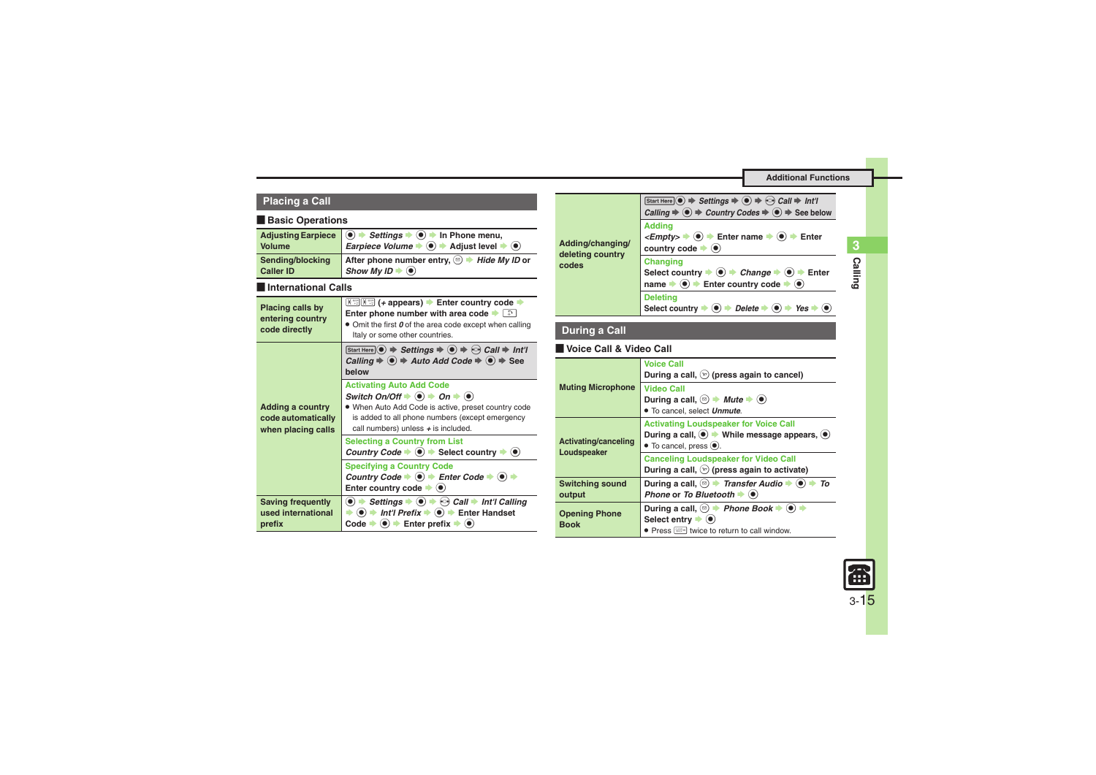<span id="page-14-4"></span><span id="page-14-3"></span><span id="page-14-1"></span><span id="page-14-0"></span>

| <b>Placing a Call</b>                                    |                                                                                                                                                                                                                                                                                                                                       |                                      |                                     | Start                        |
|----------------------------------------------------------|---------------------------------------------------------------------------------------------------------------------------------------------------------------------------------------------------------------------------------------------------------------------------------------------------------------------------------------|--------------------------------------|-------------------------------------|------------------------------|
| <b>Basic Operations</b>                                  |                                                                                                                                                                                                                                                                                                                                       |                                      |                                     | Calli<br>Add                 |
| <b>Adjusting Earpiece</b><br>Volume                      | $\langle \bullet \rangle$ $\Rightarrow$ Settings $\Rightarrow$ $\langle \bullet \rangle$ $\Rightarrow$ In Phone menu,<br><i>Earpiece Volume</i> $\bullet$ $\bullet$ $\bullet$ Adjust level $\bullet$ $\bullet$                                                                                                                        | Adding/changing/<br>deleting country |                                     | $<$ En<br>cou                |
| Sending/blocking<br><b>Caller ID</b>                     | After phone number entry, $\circledcirc$ $\Rightarrow$ Hide My ID or<br>Show My ID $\blacktriangleright$ ( $\blacklozenge$ )                                                                                                                                                                                                          |                                      | codes                               | Cha<br>Sele                  |
| International Calls                                      |                                                                                                                                                                                                                                                                                                                                       |                                      |                                     | nam                          |
| Placing calls by<br>entering country                     | Enter phone number with area code $\rightarrow$                                                                                                                                                                                                                                                                                       |                                      |                                     | <b>Dele</b><br>Sele          |
| code directly                                            | • Omit the first 0 of the area code except when calling<br>Italy or some other countries.                                                                                                                                                                                                                                             |                                      | <b>During a Call</b>                |                              |
|                                                          | Start Here $\odot$ $\Rightarrow$ Settings $\Rightarrow$ $\odot$ $\Rightarrow$ $\odot$ Call $\Rightarrow$ Int'l                                                                                                                                                                                                                        |                                      | Voice Call & Video C                |                              |
|                                                          | Calling $\Rightarrow$ ( $\bullet$ ) $\Rightarrow$ Auto Add Code $\Rightarrow$ ( $\bullet$ ) $\Rightarrow$ See<br>helow                                                                                                                                                                                                                |                                      |                                     | Voic<br>Duri                 |
| <b>Adding a country</b>                                  | <b>Activating Auto Add Code</b><br>Switch On/Off $\Rightarrow$ $\circledast$ $\Rightarrow$ On $\Rightarrow$ $\circledast$<br>. When Auto Add Code is active, preset country code                                                                                                                                                      |                                      | <b>Muting Microphone</b>            | Vide<br>Duri<br>$\bullet$ To |
| code automatically<br>when placing calls                 | is added to all phone numbers (except emergency<br>call numbers) unless $+$ is included.<br><b>Selecting a Country from List</b>                                                                                                                                                                                                      |                                      | Activating/canceling                | Acti<br>Duri                 |
|                                                          | Country Code $\blacktriangleright$ (a) $\blacktriangleright$ Select country $\blacktriangleright$ (a)                                                                                                                                                                                                                                 |                                      | Loudspeaker                         | $\bullet$ To                 |
|                                                          | <b>Specifying a Country Code</b><br>Country Code $\blacktriangleright$ (a) $\blacktriangleright$ Enter Code $\blacktriangleright$ (a) $\blacktriangleright$                                                                                                                                                                           |                                      |                                     | Can<br>Duri                  |
|                                                          | Enter country code $\blacktriangleright$ ( $\blacklozenge$ )                                                                                                                                                                                                                                                                          |                                      | <b>Switching sound</b><br>output    | Duri<br>Pho                  |
| <b>Saving frequently</b><br>used international<br>prefix | $\left( \bullet \right)$<br>Settings $\bullet$ $\bullet$ $\bullet$ $\bullet$ Call $\bullet$ Int'l Calling<br>$\langle \bullet \rangle$ $\Rightarrow$ Int'l Prefix $\Rightarrow$ $\langle \bullet \rangle$ $\Rightarrow$ Enter Handset<br>∍<br>Code $\Rightarrow$ ( $\bullet$ ) $\Rightarrow$ Enter prefix $\Rightarrow$ ( $\bullet$ ) |                                      | <b>Opening Phone</b><br><b>Book</b> | Duri<br>Sele<br>Pr           |

<span id="page-14-6"></span><span id="page-14-5"></span><span id="page-14-2"></span> **Voice Call & Video Call**  $\overline{\text{Here}}$   $\odot$   $\Rightarrow$  *Settings*  $\Rightarrow$   $\odot$   $\Rightarrow$  *Call*  $\Rightarrow$  *Int'l*  $\mathsf{C} \mathsf{C} \mathsf{C} \mathsf{C} \mathsf{C}$   $\mathsf{C}$   $\mathsf{C}$  and  $\mathsf{C} \mathsf{C}$  and  $\mathsf{C} \mathsf{C}$   $\mathsf{C}$   $\mathsf{C}$   $\mathsf{C}$   $\mathsf{C}$   $\mathsf{C}$   $\mathsf{C}$   $\mathsf{C}$   $\mathsf{C}$   $\mathsf{C}$   $\mathsf{C}$   $\mathsf{C}$   $\mathsf{C}$   $\mathsf{C}$   $\mathsf{C}$   $\mathsf{C$ **Adding**  $\phi$  **(e)**  $\Rightarrow$  Enter name  $\Rightarrow$  (e)  $\Rightarrow$  Enter ntry code  $\blacktriangleright$   $\textcircled{\scriptsize{\bullet}}$ **Changing**  $\text{Sect country} \rightarrow \textcircled{\textcolor{red}{\bullet}}$  *Change*  $\rightarrow \textcircled{\textcolor{red}{\bullet}}$  Enter **name**  $\rightarrow$  $\circledcirc$  $\rightarrow$  **Enter country code**  $\rightarrow$  $\circledcirc$ **Deleting**  $\text{cot}$  country  $\Rightarrow$  **O**  $\Rightarrow$  *Delete*  $\Rightarrow$  **O**  $\Rightarrow$  *Yes*  $\Rightarrow$  **O Voice CallDuring a call,** A **(press again to cancel) Po Call**  $\mathsf{During}~\mathsf{a}~\mathsf{call}, \circledcirc \blacktriangleright \mathsf{Mute} \blacktriangleright \circledbullet$ cancel, select **Unmute**. **Vating Loudspeaker for Voice Call During a call, ●**  $\blacklozenge$  $\blacktriangleright$  **While message appears, ●** cancel, press  $<sup>•</sup>$ .</sup> **Canceling Loudspeaker for Video Call During a call,** A **(press again to activate) During a call,**  $\textcircled{e}$  $\blacklozenge$ *Transfer Audio* $\blacklozenge$  $\textcircled{e}$  $\blacklozenge$ *To* **Phone or To Bluetooth**  $\blacklozenge$  $\mathsf{diag} \mathsf{a} \mathsf{call}, \textcircled{\tiny\hspace{-.1em}|\hspace{-.05cm}} \mathsf{b} \blacktriangleright \mathsf{Phone} \mathsf{Book} \blacktriangleright \textcircled{\tiny\hspace{-.1em}|\hspace{-.05cm}} \mathsf{b} \blacktriangleright \mathsf{S}$  $\text{ect entry} \blacktriangleright \textcircled{\scriptsize{\bullet}}$ .Press  $\boxed{\text{max}}$  twice to return to call window.



**Calling 3**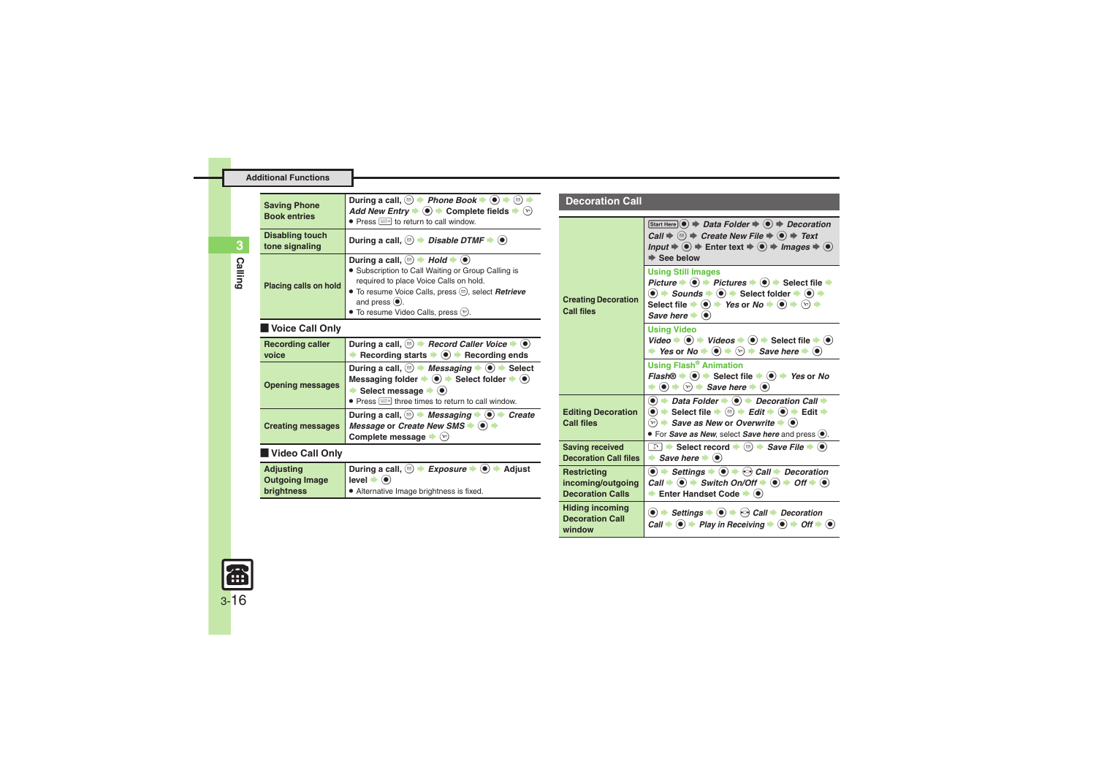| <b>Saving Phone</b><br><b>Book entries</b> | During a call, $\textcircled{=}$ <i>Phone Book</i> $\blacktriangleright$ $\textcircled{}}$<br>(⊠)<br>Add New Entry $\blacktriangleright$ ( $\blacklozenge$ ) $\blacktriangleright$ Complete fields $\blacktriangleleft$<br>$\left( \nabla \right)$                                                                                                                                     |  |
|--------------------------------------------|----------------------------------------------------------------------------------------------------------------------------------------------------------------------------------------------------------------------------------------------------------------------------------------------------------------------------------------------------------------------------------------|--|
| <b>Disabling touch</b><br>tone signaling   | During a call, $\textcircled{=}$ <i>Disable DTMF</i> $\blacktriangleright$ $\textcircled{=}$                                                                                                                                                                                                                                                                                           |  |
| Placing calls on hold                      | During a call, $\textcircled{\scriptsize{\textcircled{\#}}}$ + Hold $\blacktriangleright$ ( $\textcircled{\scriptsize{\textcircled{\#}}}$<br>• Subscription to Call Waiting or Group Calling is<br>required to place Voice Calls on hold.<br>• To resume Voice Calls, press (b), select <b>Retrieve</b><br>and press $\left( \bullet \right)$ .<br>• To resume Video Calls, press (v). |  |
| Voice Call Only                            |                                                                                                                                                                                                                                                                                                                                                                                        |  |

### [ **Voice Call Only**

<span id="page-15-1"></span><span id="page-15-0"></span>

| <b>Recording caller</b><br>voice | During a call, $\textcircled{=}$ Record Caller Voice $\blacktriangleright$ $\textcircled{}$<br>Recording starts $\blacktriangleright \textcircled{\color{white} \bullet} \blacktriangleright$ Recording ends                                                                                                                                      |
|----------------------------------|---------------------------------------------------------------------------------------------------------------------------------------------------------------------------------------------------------------------------------------------------------------------------------------------------------------------------------------------------|
| <b>Opening messages</b>          | During a call, $\circledcirc$ $\rightarrow$ <i>Messaging</i> $\rightarrow$ $\circledcirc$ $\rightarrow$ Select<br>Messaging folder $\Rightarrow$ $\circledast$ $\Rightarrow$ Select folder $\Rightarrow$ $\circledast$<br>Select message $\bullet$ $\bullet$<br>• Press <a><a></a> <a><a><a><a><a></a>k</a>return to call window.</a></a></a></a> |
| <b>Creating messages</b>         | During a call, $\textcircled{a}$ $\blacktriangleright$ Messaging $\blacktriangleright$ $\textcircled{a}$ $\blacktriangleright$ Create<br>Message or Create New SMS $\blacktriangleright$ ( $\blacklozenge$ )<br>Complete message $\blacktriangleright$ ( $\triangleright$ )                                                                       |
| Video Call Only                  |                                                                                                                                                                                                                                                                                                                                                   |
|                                  | $\widehat{\phantom{a}}$<br>⌒<br>.                                                                                                                                                                                                                                                                                                                 |

<span id="page-15-2"></span>

| Adjusting             | During a call, $\circledcirc \rightarrow$ Exposure $\rightarrow \circledcirc \rightarrow$ Adjust |
|-----------------------|--------------------------------------------------------------------------------------------------|
| <b>Outgoing Image</b> | $\mathsf{level} \blacktriangleright (\bullet)$                                                   |
| <b>brightness</b>     | Alternative Image brightness is fixed.                                                           |

#### **Decoration Call**

<span id="page-15-7"></span><span id="page-15-6"></span><span id="page-15-5"></span><span id="page-15-4"></span><span id="page-15-3"></span>

| <b>Creating Decoration</b><br><b>Call files</b>             | Start Here $\left( \bullet \right) \Rightarrow$ Data Folder $\Rightarrow$ $\left( \bullet \right) \Rightarrow$ Decoration<br>Call $\Rightarrow$ ( $\text{ } \text{ } \Rightarrow$ Create New File $\Rightarrow$ ( $\bullet$ ) $\Rightarrow$ Text<br>Input $\Rightarrow$ ( $\bullet$ ) $\Rightarrow$ Enter text $\Rightarrow$ ( $\bullet$ ) $\Rightarrow$ Images $\Rightarrow$ ( $\bullet$ )<br>$\Rightarrow$ See below                                                                                                 |
|-------------------------------------------------------------|------------------------------------------------------------------------------------------------------------------------------------------------------------------------------------------------------------------------------------------------------------------------------------------------------------------------------------------------------------------------------------------------------------------------------------------------------------------------------------------------------------------------|
|                                                             | <b>Using Still Images</b><br>Picture $\rightarrow$ ( $\bullet$ ) $\rightarrow$ Pictures $\rightarrow$ ( $\bullet$ ) $\rightarrow$ Select file $\rightarrow$<br>$\bullet$ $\Rightarrow$ Sounds $\Rightarrow$ $\bullet$ $\Rightarrow$ Select folder $\Rightarrow$ $\bullet$ $\Rightarrow$<br>Select file $\Rightarrow$ $\circledast$ $\Rightarrow$ Yes or No $\Rightarrow$ $\circledast$ $\Rightarrow$ $\circledast$ $\Rightarrow$<br>Save here $\blacktriangleright$ ( $\blacklozenge$ )                                |
|                                                             | <b>Using Video</b><br>Video $\Rightarrow$ ( $\bullet$ ) $\Rightarrow$ Videos $\Rightarrow$ ( $\bullet$ ) $\Rightarrow$ Select file $\Rightarrow$ ( $\bullet$ )<br>→ Yes or No $\rightarrow$ ( $\bullet$ ) $\rightarrow$ $\circledcirc$ $\rightarrow$ Save here $\rightarrow$ ( $\bullet$ )                                                                                                                                                                                                                             |
|                                                             | <b>Using Flash<sup>®</sup> Animation</b><br><i>Flash</i> <sup>®</sup> $\rightarrow$ <sup>●</sup> > Select file $\rightarrow$ <sup>●</sup> Yes or No<br>$\Rightarrow$ $\circledcirc$ $\Rightarrow$ $\circledcirc$ $\Rightarrow$ Save here $\Rightarrow$ $\circledcirc$                                                                                                                                                                                                                                                  |
| <b>Editing Decoration</b><br>Call files                     | $\textcircled{\textbullet}$ $\Rightarrow$ Data Folder $\Rightarrow$ $\textcircled{\textbullet}$ Decoration Call $\Rightarrow$<br>$\textcircled{\textcircled{\textcirc}}$ $\Rightarrow$ Select file $\Rightarrow$ $\textcircled{\textcircled{\textcircled{\textcirc}}}$ $\Rightarrow$ Edit $\Rightarrow$ Edit $\Rightarrow$<br>$\mathcal{L}_{\mathcal{D}}$ $\rightarrow$ Save as New or Overwrite $\rightarrow$ $\mathcal{L}_{\mathcal{D}}$<br>• For <i>Save as New</i> , select <i>Save here</i> and press $\bullet$ . |
| <b>Saving received</b><br><b>Decoration Call files</b>      | <b>a</b> $\rightarrow$ Select record $\rightarrow$ <sup>(a)</sup> $\rightarrow$ <i>Save File</i> $\rightarrow$ ( $\bullet$ )<br>$\rightarrow$ Save here $\rightarrow$ ( $\bullet$ )                                                                                                                                                                                                                                                                                                                                    |
| Restricting<br>incoming/outgoing<br><b>Decoration Calls</b> | $\textcircled{\textbullet}$ $\blacktriangleright$ Settings $\blacktriangleright$ $\textcircled{\textbullet}$ $\blacktriangleright$ $\textcircled{\textcirc}$ Call $\blacktriangleright$ Decoration<br>Call $\Rightarrow$ $\bullet$ $\Rightarrow$ Switch On/Off $\Rightarrow$ $\bullet$ $\Rightarrow$ Off $\Rightarrow$ $\bullet$<br>Enter Handset Code $\blacktriangleright$ ( $\blacklozenge$ )                                                                                                                       |
| <b>Hiding incoming</b><br><b>Decoration Call</b><br>window  | $\textcircled{\textbullet}$ $\Rightarrow$ Settings $\Rightarrow$ $\textcircled{\textbullet}$ $\Rightarrow$ Call $\Rightarrow$ Decoration<br>Call $\Rightarrow$ (●) $\Rightarrow$ Play in Receiving $\Rightarrow$ (●) $\Rightarrow$ Off $\Rightarrow$ (●)                                                                                                                                                                                                                                                               |

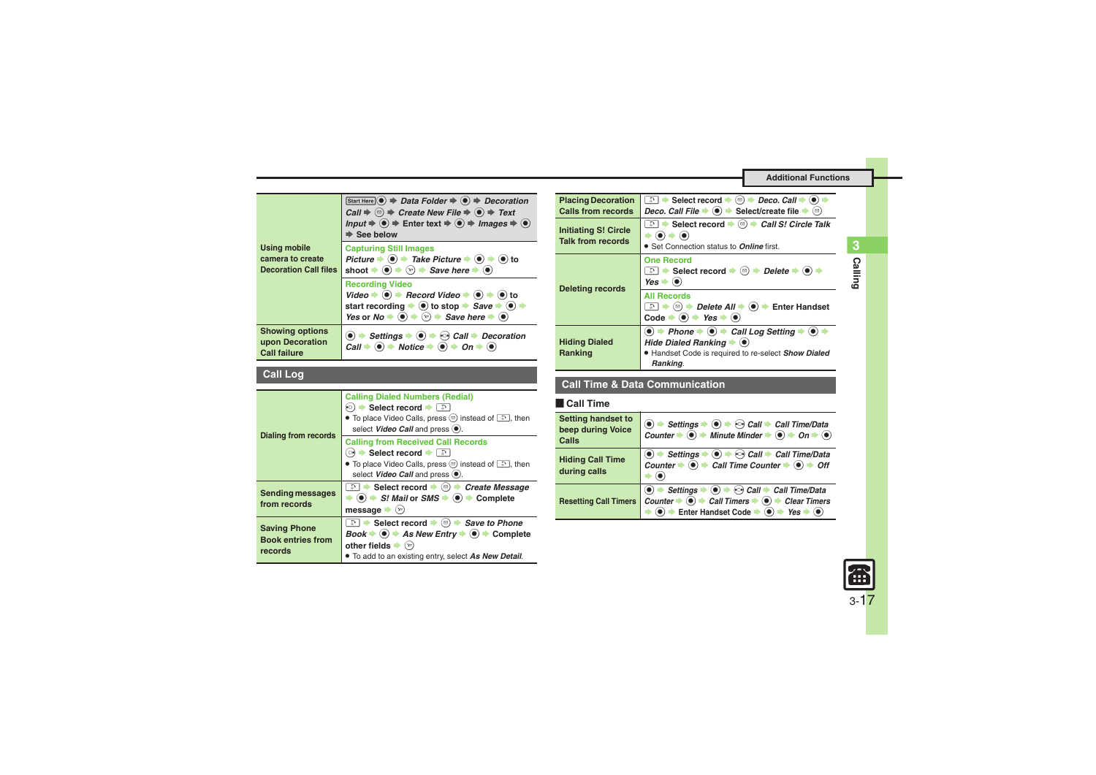<span id="page-16-0"></span>

| <b>Using mobile</b><br>camera to create<br><b>Decoration Call files</b> | Start Here $\odot$ $\Rightarrow$ Data Folder $\Rightarrow$ $\odot$ $\Rightarrow$ Decoration<br>Call $\Rightarrow$ $\textcircled{=}$ $\Rightarrow$ Create New File $\Rightarrow$ $\textcircled{=}$ $\Rightarrow$ Text<br>Input $\Rightarrow$ $\bullet$ $\Rightarrow$ Enter text $\Rightarrow$ $\bullet$ $\Rightarrow$ Images $\Rightarrow$ $\bullet$<br>$\Rightarrow$ See below |
|-------------------------------------------------------------------------|--------------------------------------------------------------------------------------------------------------------------------------------------------------------------------------------------------------------------------------------------------------------------------------------------------------------------------------------------------------------------------|
|                                                                         | <b>Capturing Still Images</b><br>Picture $\Rightarrow$ ( $\bullet$ ) $\Rightarrow$ Take Picture $\Rightarrow$ ( $\bullet$ ) $\Rightarrow$ ( $\bullet$ ) to<br>shoot $\Rightarrow$ ( $\bullet$ ) $\Rightarrow$ ( $\circ$ ) $\Rightarrow$ Save here $\Rightarrow$ ( $\bullet$ )                                                                                                  |
|                                                                         | <b>Recording Video</b><br>Video $\Rightarrow$ ( $\bullet$ ) $\Rightarrow$ Record Video $\Rightarrow$ ( $\bullet$ ) $\Rightarrow$ ( $\bullet$ ) to<br>start recording $\bullet$ ( $\bullet$ ) to stop $\bullet$ <i>Save</i> $\bullet$ ( $\bullet$ )<br>Yes or $No \rightarrow \odot \rightarrow \odot$ $\rightarrow$ Save here $\rightarrow \odot$                              |
| <b>Showing options</b><br>upon Decoration<br><b>Call failure</b>        | $\bullet$ $\rightarrow$ Settings $\rightarrow$ $\bullet$ $\rightarrow$ $\odot$ Call $\rightarrow$ Decoration<br>Call $\div$ (a) $\div$ Notice $\div$ (a) $\div$ On $\div$ (a)                                                                                                                                                                                                  |

### <span id="page-16-1"></span>**Call Log**

<span id="page-16-4"></span><span id="page-16-3"></span><span id="page-16-2"></span>

| <b>Dialing from records</b>                                | <b>Calling Dialed Numbers (Redial)</b><br>(ু) $\blacktriangleright$ Select record $\blacktriangleright$ ি<br>• To place Video Calls, press $\circledcirc$ instead of $\circledcirc$ , then<br>select Video Call and press (.).                                                                                              |
|------------------------------------------------------------|-----------------------------------------------------------------------------------------------------------------------------------------------------------------------------------------------------------------------------------------------------------------------------------------------------------------------------|
|                                                            | <b>Calling from Received Call Records</b><br>े Select record । स<br>• To place Video Calls, press $\circledcirc$ instead of $\circledcirc$ , then<br>select Video Call and press (.).                                                                                                                                       |
| <b>Sending messages</b><br>from records                    | े Select record $\bullet$ ( $\textcircled{=}$ ) $\bullet$ Create Message<br>$\Rightarrow$ ( $\bullet$ ) $\Rightarrow$ S! Mail or SMS $\Rightarrow$ ( $\bullet$ ) $\Rightarrow$ Complete<br>message $\bullet$ ( $\mathbf{v}$ )                                                                                               |
| <b>Saving Phone</b><br><b>Book entries from</b><br>records | a $\bullet$ Select record $\bullet$ ( $\circ$ ) $\bullet$ Save to Phone<br>$Book \rightarrow \textcircled{\bullet}$ $\rightarrow$ As New Entry $\rightarrow \textcircled{\bullet}$ $\rightarrow$ Complete<br>other fields $\blacktriangleright$ $\langle x \rangle$<br>. To add to an existing entry, select As New Detail. |

<span id="page-16-6"></span><span id="page-16-5"></span>

| <b>Placing Decoration</b><br>Calls from records         | a $\rightarrow$ Select record $\rightarrow$ ( $\textcircled{a}$ ) $\rightarrow$ Deco. Call $\rightarrow$ ( $\bullet$ )<br>Deco. Call File $\blacktriangleright$ ( $\blacklozenge$ ) $\blacktriangleright$ Select/create file $\blacktriangleright$ ( $\textcircled{e}$ ) |
|---------------------------------------------------------|--------------------------------------------------------------------------------------------------------------------------------------------------------------------------------------------------------------------------------------------------------------------------|
| <b>Initiating S! Circle</b><br><b>Talk from records</b> | <sup>়</sup> $\Rightarrow$ Select record $\Rightarrow$ ( $\textcircled{=}$ ) $\Rightarrow$ <i>Call S! Circle Talk</i><br>$\left(\bullet\right)\Rightarrow\left(\bullet\right)$<br>• Set Connection status to <b>Online</b> first.                                        |
| <b>Deleting records</b>                                 | <b>One Record</b><br>े → Select record $\rightarrow$ <sup>(<math>\text{a})</math></sup> $\rightarrow$ <i>Delete</i> $\rightarrow$ ( $\bullet$ ) $\rightarrow$<br>$Yes \rightarrow \odot$                                                                                 |
|                                                         | <b>All Records</b><br>( $\text{□}$ ) $\blacktriangleright$ <i>Delete All</i> $\blacktriangleright$ ( $\blacklozenge$ ) $\blacktriangleright$ Enter Handset<br>Code $\bullet$ ( $\bullet$ ) $\bullet$ Yes $\bullet$ ( $\bullet$ )                                         |
| <b>Hiding Dialed</b><br>Ranking                         | $\bullet$ $\bullet$ Phone $\bullet$ $\bullet$ $\bullet$ Call Log Setting $\bullet$<br>Hide Dialed Ranking $\blacktriangleright$ ( $\blacklozenge$ )<br>· Handset Code is required to re-select Show Dialed<br>Ranking.                                                   |

### **Call Time & Data Communication**

### [ **Call Time**

<span id="page-16-7"></span>

| <b>Setting handset to</b><br>beep during Voice<br>Calls | $\circledcirc$ $\Rightarrow$ Settings $\Rightarrow$ $\circledcirc$ $\Rightarrow$ Call $\Rightarrow$ Call Time/Data<br>Counter $\Rightarrow$ $\circledcirc$ $\Rightarrow$ Minute Minder $\Rightarrow$ $\circledcirc$ $\Rightarrow$ On $\Rightarrow$ $\circledcirc$                                                                                                      |
|---------------------------------------------------------|------------------------------------------------------------------------------------------------------------------------------------------------------------------------------------------------------------------------------------------------------------------------------------------------------------------------------------------------------------------------|
| <b>Hiding Call Time</b><br>during calls                 | $\overline{\textcircled{\textcircled{\textcirc}}}$ $\rightarrow$ Settings $\rightarrow$ $\overline{\textcircled{\textcircled{\textcirc}}}$ Call $\rightarrow$ Call Time/Data<br>Counter $\rightarrow$ $\overline{\textcircled{\textcirc}}}$ $\rightarrow$ Call Time Counter $\rightarrow$ $\overline{\textcircled{\textcirc}}$ $\rightarrow$ Off                       |
| <b>Resetting Call Timers</b>                            | $\textcircled{\textcircled{\textcirc}}$ $\Rightarrow$ Settings $\Rightarrow$ $\textcircled{\textcircled{\textcircled{\textcirc}}}$ $\Rightarrow$ Call $\Rightarrow$ Call Time/Data<br>Counter $\bullet \odot \bullet$ Call Timers $\bullet \odot \bullet$ Clear Timers<br>$\bullet$ $\bullet$ Enter Handset Code $\bullet$ $\bullet$ $\bullet$ Yes $\bullet$ $\bullet$ |

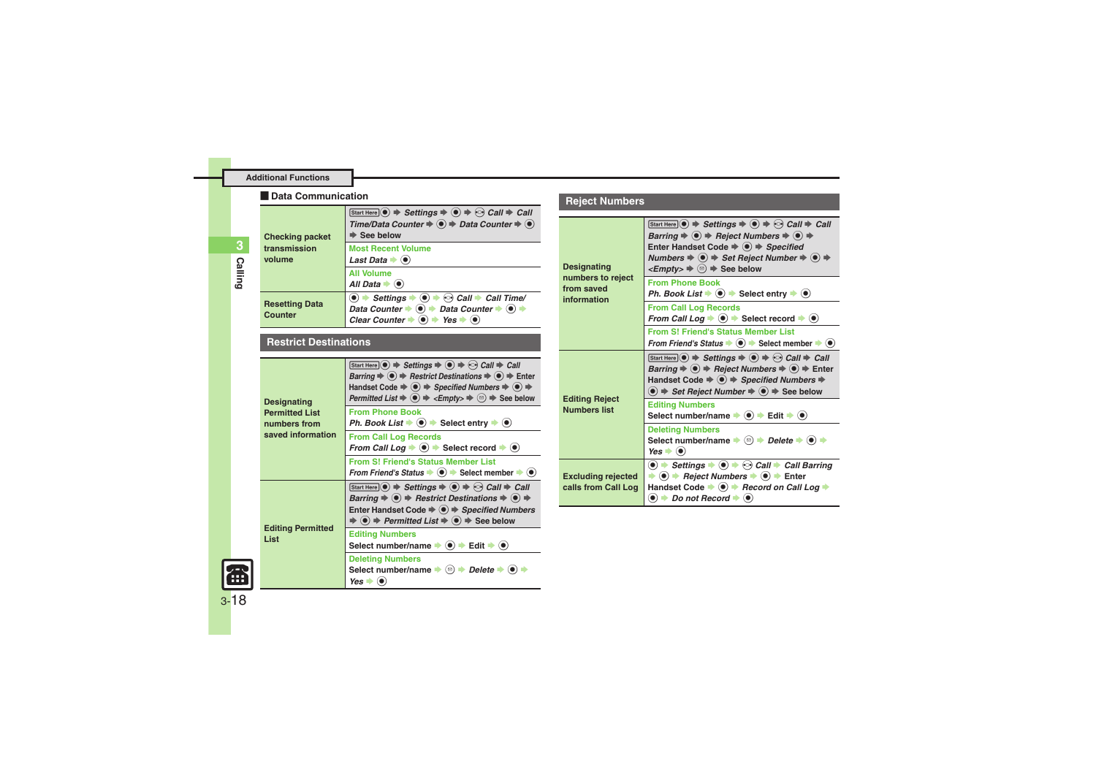#### [ **Data Communication**

<span id="page-17-0"></span>

| <b>Checking packet</b><br>transmission<br>volume | $[Start Here] \n\bullet \n\Rightarrow \nSettings \n\Rightarrow \n\bullet \n\Rightarrow \n\bullet \n\Rightarrow \nCall \n\Rightarrow \nCall$<br>Time/Data Counter → ● → Data Counter → ●<br>$\Rightarrow$ See below                                                                     |
|--------------------------------------------------|----------------------------------------------------------------------------------------------------------------------------------------------------------------------------------------------------------------------------------------------------------------------------------------|
|                                                  | <b>Most Recent Volume</b><br>Last Data $\blacktriangleright$ ( $\blacklozenge$ )                                                                                                                                                                                                       |
|                                                  | <b>All Volume</b><br>All Data $\bullet$ ( $\bullet$ )                                                                                                                                                                                                                                  |
| <b>Resetting Data</b><br>Counter                 | $\bullet$ $\bullet$ Settings $\bullet$ $\bullet$ $\bullet$ $\bullet$ Call $\bullet$ Call Time/<br>Data Counter $\Rightarrow$ ( $\bullet$ ) $\Rightarrow$ Data Counter $\Rightarrow$ ( $\bullet$ ) $\Rightarrow$<br>Clear Counter $\Rightarrow$ (0) $\Rightarrow$ Yes $\Rightarrow$ (0) |

#### <span id="page-17-1"></span>**Restrict Destinations**

<span id="page-17-2"></span>

| <b>Designating</b><br><b>Permitted List</b><br>numbers from<br>saved information | Start Here $\odot$ $\Rightarrow$ Settings $\Rightarrow$ $\odot$ $\Rightarrow$ $\odot$ Call $\Rightarrow$ Call<br>Barring $\Rightarrow$ $\circledast$ $\Rightarrow$ Restrict Destinations $\Rightarrow$ $\circledast$ $\Rightarrow$ Enter<br>Handset Code $\Rightarrow$ $\circledast$ $\Rightarrow$ Specified Numbers $\Rightarrow$ $\circledast$ $\Rightarrow$<br>Permitted List $\Rightarrow$ ( $\bullet$ ) $\Rightarrow$ <empty><math>\Rightarrow</math> (<math>\circledcirc</math>) <math>\Rightarrow</math> See below</empty> |
|----------------------------------------------------------------------------------|-----------------------------------------------------------------------------------------------------------------------------------------------------------------------------------------------------------------------------------------------------------------------------------------------------------------------------------------------------------------------------------------------------------------------------------------------------------------------------------------------------------------------------------|
|                                                                                  | <b>From Phone Book</b><br>Ph. Book List $\Rightarrow$ $\bullet$ Select entry $\Rightarrow$ $\bullet$                                                                                                                                                                                                                                                                                                                                                                                                                              |
|                                                                                  | <b>From Call Log Records</b><br>From Call Log $\Rightarrow$ $\circledast$ Select record $\Rightarrow$ $\circledast$                                                                                                                                                                                                                                                                                                                                                                                                               |
|                                                                                  | <b>From S! Friend's Status Member List</b><br>From Friend's Status $\Rightarrow$ ( $\bullet$ ) $\Rightarrow$ Select member $\Rightarrow$ ( $\bullet$ )                                                                                                                                                                                                                                                                                                                                                                            |
| <b>Editing Permitted</b><br>List                                                 | Start Here $\circledcirc$ $\Rightarrow$ Settings $\Rightarrow$ $\circledcirc$ $\Rightarrow$ $\circledcirc$ Call $\Rightarrow$ Call<br>Barring $\Rightarrow$ $\circledast \Rightarrow$ Restrict Destinations $\Rightarrow$ $\circledast \Rightarrow$<br>Enter Handset Code $\Rightarrow$ $\circledast$ $\Rightarrow$ Specified Numbers<br>$\Rightarrow$ $\circledast$ $\Rightarrow$ Permitted List $\Rightarrow$ $\circledast$ $\Rightarrow$ See below                                                                             |
|                                                                                  | <b>Editing Numbers</b><br>Select number/name $\Rightarrow$ $\textcircled{\bullet}$ $\Rightarrow$ Edit $\Rightarrow$ $\textcircled{\bullet}$                                                                                                                                                                                                                                                                                                                                                                                       |
|                                                                                  | <b>Deleting Numbers</b><br>Select number/name $\blacktriangleright$ ( $\textcircled{\scriptsize{\textsf{}}}\Rightarrow$ Delete $\blacktriangleright$ ( $\bullet$ )<br>$Yes \rightarrow (•)$                                                                                                                                                                                                                                                                                                                                       |

### **Reject Numbers**

<span id="page-17-6"></span><span id="page-17-5"></span><span id="page-17-4"></span>

| <b>Designating</b><br>numbers to reject<br>from saved<br>information | Start Here $\odot$ $\Rightarrow$ Settings $\Rightarrow$ $\odot$ $\Rightarrow$ $\odot$ Call $\Rightarrow$ Call<br>Barring $\Rightarrow$ ( $\bullet$ ) $\Rightarrow$ Reject Numbers $\Rightarrow$ ( $\bullet$ ) $\Rightarrow$<br>Enter Handset Code $\Rightarrow$ $\circledast$ $\Rightarrow$ Specified<br>Numbers $\Rightarrow$ ( $\bullet$ ) $\Rightarrow$ Set Reject Number $\Rightarrow$ ( $\bullet$ ) $\Rightarrow$<br>$\leq$ Empty> $\Rightarrow$ ( $\textcircled{e}$ ) $\Rightarrow$ See below |
|----------------------------------------------------------------------|-----------------------------------------------------------------------------------------------------------------------------------------------------------------------------------------------------------------------------------------------------------------------------------------------------------------------------------------------------------------------------------------------------------------------------------------------------------------------------------------------------|
|                                                                      | <b>From Phone Book</b><br>Ph. Book List $\Rightarrow$ $\bullet$ $\Rightarrow$ Select entry $\Rightarrow$ $\bullet$                                                                                                                                                                                                                                                                                                                                                                                  |
|                                                                      | <b>From Call Log Records</b><br>From Call Log $\Rightarrow$ $\circledast$ Select record $\Rightarrow$ $\circledast$                                                                                                                                                                                                                                                                                                                                                                                 |
|                                                                      | <b>From S! Friend's Status Member List</b><br>From Friend's Status $\bullet$ ( $\bullet$ ) $\bullet$ Select member $\bullet$ ( $\bullet$ )                                                                                                                                                                                                                                                                                                                                                          |
| <b>Editing Reject</b><br><b>Numbers list</b>                         | Start Here $\odot$ $\Rightarrow$ Settings $\Rightarrow$ $\odot$ $\Rightarrow$ $\odot$ Call $\Rightarrow$ Call<br>Barring $\Rightarrow$ $\circledast$ $\Rightarrow$ Reject Numbers $\Rightarrow$ $\circledast$ $\Rightarrow$ Enter<br>Handset Code $\Rightarrow$ $\circledast$ $\Rightarrow$ Specified Numbers $\Rightarrow$<br>$\textcircled{\textcolor{blue}{\bullet}}$ $\Rightarrow$ Set Reject Number $\Rightarrow$ $\textcircled{\textcolor{blue}{\bullet}}$ $\Rightarrow$ See below            |
|                                                                      | <b>Editing Numbers</b><br>Select number/name $\Rightarrow$ $\bullet$ $\Rightarrow$ Edit $\Rightarrow$ $\bullet$ )                                                                                                                                                                                                                                                                                                                                                                                   |
|                                                                      | <b>Deleting Numbers</b><br>Select number/name $\Rightarrow$ $\textcircled{e}$ $\Rightarrow$ Delete $\Rightarrow$ $\textcircled{e}$ ) $\Rightarrow$<br>$Yes \rightarrow (•)$                                                                                                                                                                                                                                                                                                                         |
| <b>Excluding rejected</b><br>calls from Call Log                     | $\textcircled{\bullet}$ $\Rightarrow$ Settings $\Rightarrow$ $\textcircled{\bullet}$ $\Rightarrow$ $\textcircled{\bullet}$ Call $\Rightarrow$ Call Barring<br>$\rightarrow$ (●) $\rightarrow$ Reject Numbers $\rightarrow$ (●) $\rightarrow$ Enter<br>Handset Code $\bullet$ $\bullet$ $\bullet$ Record on Call Log $\bullet$<br>$\bullet$ $\bullet$ Do not Record $\bullet$ $\bullet$                                                                                                              |

<span id="page-17-3"></span>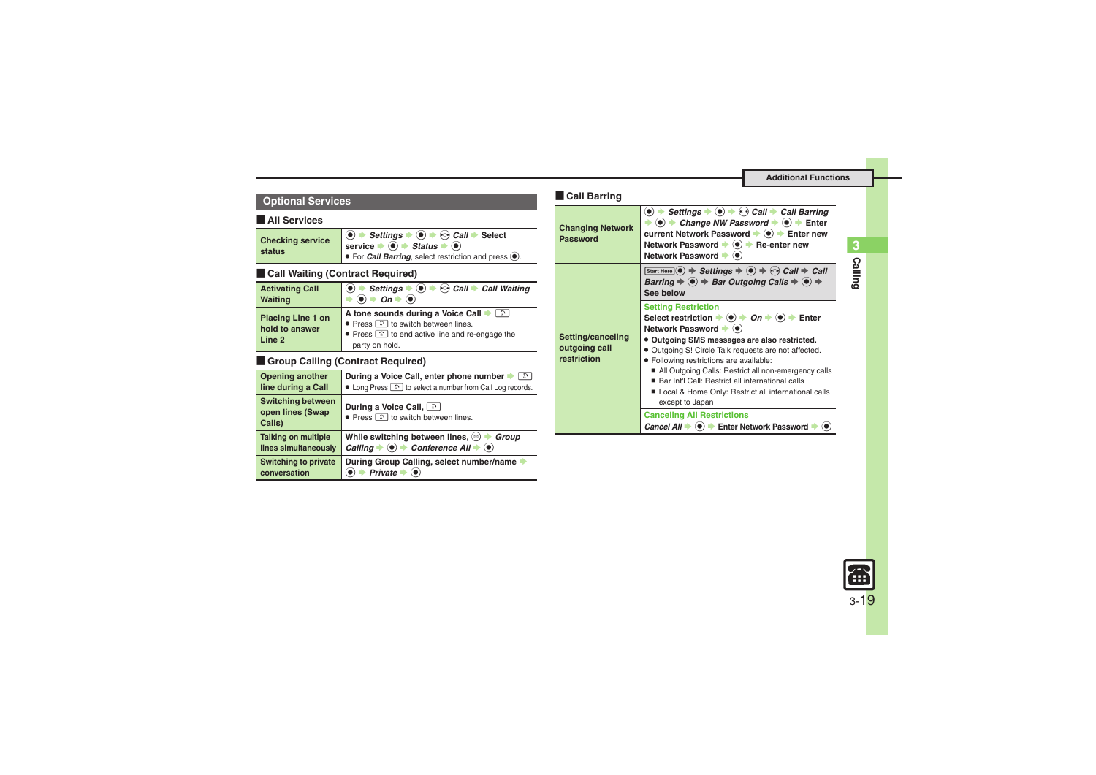**Calling 3**

| <b>Optional Services</b> | Call Barring |
|--------------------------|--------------|
|                          |              |

#### [ **All Services**

<span id="page-18-0"></span>

| <b>Checking service</b><br>status | $\bigcirc$ $\rightarrow$ Settings $\rightarrow$ $\bigcirc$ $\rightarrow$ $\bigcirc$ Call $\rightarrow$ Select<br>service $\bigcirc$ $\rightarrow$ <i>Status</i> $\rightarrow$ $\odot$ |
|-----------------------------------|---------------------------------------------------------------------------------------------------------------------------------------------------------------------------------------|
|                                   | $\bullet$ For <i>Call Barring</i> , select restriction and press $\odot$ .                                                                                                            |

### **Exall Waiting (Contract Required)**

<span id="page-18-1"></span>

| <b>Activating Call</b>                               | $\bullet$ $\Rightarrow$ Settings $\Rightarrow$ $\bullet$ $\Rightarrow$ Call $\Rightarrow$ Call Waiting                                                                                     |
|------------------------------------------------------|--------------------------------------------------------------------------------------------------------------------------------------------------------------------------------------------|
| <b>Waiting</b>                                       | $\rightarrow$ On $\rightarrow$ ( $\bullet$ )                                                                                                                                               |
| <b>Placing Line 1 on</b><br>hold to answer<br>Line 2 | A tone sounds during a Voice Call $\blacktriangleright$ and<br>• Press a to switch between lines.<br>$\bullet$ Press $\circledcirc$ to end active line and re-engage the<br>party on hold. |

### **Example Calling (Contract Required)**

<span id="page-18-2"></span>

| <b>Opening another</b>                                 | During a Voice Call, enter phone number                                                                                                                      |
|--------------------------------------------------------|--------------------------------------------------------------------------------------------------------------------------------------------------------------|
| line during a Call                                     | • Long Press and to select a number from Call Log records.                                                                                                   |
| <b>Switching between</b><br>open lines (Swap<br>Calls) | During a Voice Call, [3]<br>• Press $\boxed{3}$ to switch between lines.                                                                                     |
| <b>Talking on multiple</b><br>lines simultaneously     | While switching between lines, $\circledcirc$ $\rightarrow$ <i>Group</i><br>Calling $\bullet$ ( $\bullet$ ) $\bullet$ Conference All $\bullet$ ( $\bullet$ ) |
| <b>Switching to private</b><br>conversation            | During Group Calling, select number/name<br>Private                                                                                                          |

<span id="page-18-3"></span>

| <b>Changing Network</b><br><b>Password</b>        | $\bullet$ $\Rightarrow$ Settings $\Rightarrow$ $\bullet$ $\Rightarrow$ $\odot$ Call $\Rightarrow$ Call Barring<br>$\bullet$ ( $\bullet$ ) $\bullet$ Change NW Password $\bullet$ ( $\bullet$ ) $\bullet$ Enter<br>current Network Password → ● Fnter new<br>Network Password $\Rightarrow$ ( $\bullet$ ) $\Rightarrow$ Re-enter new<br>Network Password → (●)                                                                                                                                                      |
|---------------------------------------------------|--------------------------------------------------------------------------------------------------------------------------------------------------------------------------------------------------------------------------------------------------------------------------------------------------------------------------------------------------------------------------------------------------------------------------------------------------------------------------------------------------------------------|
| Setting/canceling<br>outgoing call<br>restriction | Start Here $\odot$ $\Rightarrow$ Settings $\Rightarrow$ $\odot$ $\Rightarrow$ $\odot$ Call $\Rightarrow$ Call<br>Barring $\Rightarrow$ $\bullet$ $\Rightarrow$ Bar Outgoing Calls $\Rightarrow$ $\bullet$ $\Rightarrow$<br>See below                                                                                                                                                                                                                                                                               |
|                                                   | <b>Setting Restriction</b><br>Select restriction $\Rightarrow$ ( $\bullet$ ) $\Rightarrow$ On $\Rightarrow$ ( $\bullet$ ) $\Rightarrow$ Enter<br>Network Password → (●)<br>• Outgoing SMS messages are also restricted.<br>• Outgoing S! Circle Talk requests are not affected.<br>· Following restrictions are available:<br>All Outgoing Calls: Restrict all non-emergency calls<br>■ Bar Int'l Call: Restrict all international calls<br>Local & Home Only: Restrict all international calls<br>except to Japan |
|                                                   | <b>Canceling All Restrictions</b><br>Cancel All $\Rightarrow$ ( $\bullet$ ) $\Rightarrow$ Enter Network Password $\Rightarrow$ ( $\bullet$ )                                                                                                                                                                                                                                                                                                                                                                       |
|                                                   |                                                                                                                                                                                                                                                                                                                                                                                                                                                                                                                    |

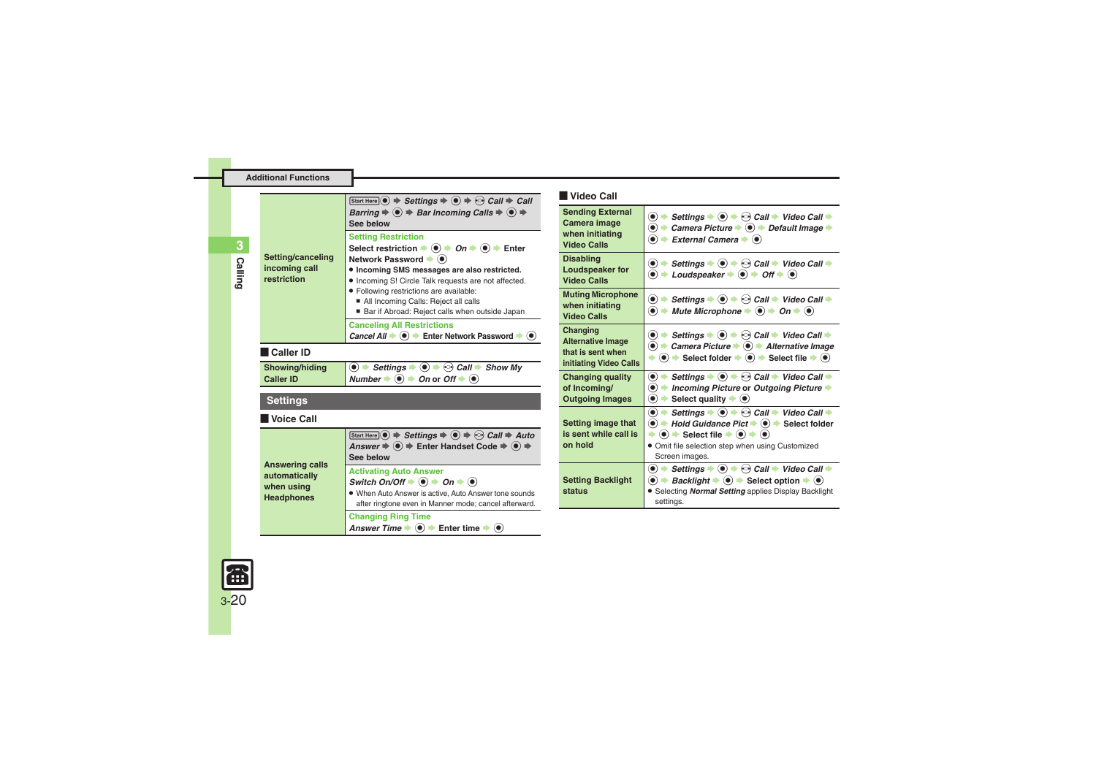<span id="page-19-4"></span>**Calling**

**3**

| Setting/canceling<br>incoming call<br>restriction                          | Start Here $\circledcirc \Rightarrow$ Settings $\Rightarrow \circledcirc \Rightarrow$ Call $\Rightarrow$ Call<br>Barring $\Rightarrow$ $\circledast$ $\Rightarrow$ Bar Incoming Calls $\Rightarrow$ $\circledast$ $\Rightarrow$<br>See below                                                                                                                                                                         |
|----------------------------------------------------------------------------|----------------------------------------------------------------------------------------------------------------------------------------------------------------------------------------------------------------------------------------------------------------------------------------------------------------------------------------------------------------------------------------------------------------------|
|                                                                            | <b>Setting Restriction</b><br>Select restriction $\rightarrow$ ( $\bullet$ ) $\rightarrow$ On $\rightarrow$ ( $\bullet$ ) $\rightarrow$ Enter<br>Network Password → (●)<br>· Incoming SMS messages are also restricted.<br>. Incoming S! Circle Talk requests are not affected.<br>· Following restrictions are available:<br>All Incoming Calls: Reject all calls<br>Bar if Abroad: Reject calls when outside Japan |
|                                                                            | <b>Canceling All Restrictions</b><br>Cancel All $\Rightarrow$ ( $\bullet$ ) $\Rightarrow$ Enter Network Password $\Rightarrow$ ( $\bullet$ )                                                                                                                                                                                                                                                                         |
| l Caller ID                                                                |                                                                                                                                                                                                                                                                                                                                                                                                                      |
| Showing/hiding<br><b>Caller ID</b>                                         | $\bullet$ $\Rightarrow$ Settings $\Rightarrow$ $\bullet$ $\Rightarrow$ Call $\Rightarrow$ Show My<br>Number $\bullet$ $\bullet$ $\bullet$ $\bullet$ On or Off $\bullet$ $\bullet$                                                                                                                                                                                                                                    |
| <b>Settings</b>                                                            |                                                                                                                                                                                                                                                                                                                                                                                                                      |
| l Voice Call                                                               |                                                                                                                                                                                                                                                                                                                                                                                                                      |
| <b>Answering calls</b><br>automatically<br>when using<br><b>Headphones</b> | Start Here $\circledcirc$ $\Rightarrow$ Settings $\Rightarrow$ $\circledcirc$ $\Rightarrow$ $\circledcirc$ Call $\Rightarrow$ Auto<br>Answer $\Rightarrow$ $\bullet$ $\Rightarrow$ Enter Handset Code $\Rightarrow$ $\bullet$ $\Rightarrow$<br>See below                                                                                                                                                             |
|                                                                            | <b>Activating Auto Answer</b><br>Switch On/Off $\blacklozenge$ $\blacklozenge$ $\land$ On $\blacklozenge$ $\blacklozenge$<br>. When Auto Answer is active, Auto Answer tone sounds<br>after ringtone even in Manner mode; cancel afterward.                                                                                                                                                                          |
|                                                                            | <b>Changing Ring Time</b><br>Answer Time $\blacktriangleright \textcircled{\blacklozenge}$ $\blacktriangleright$ Enter time $\blacktriangleright \textcircled{\blacklozenge}$                                                                                                                                                                                                                                        |

### [ **Video Call**

<span id="page-19-3"></span><span id="page-19-2"></span><span id="page-19-1"></span>

| <b>Sending External</b><br>Camera image<br>when initiating<br><b>Video Calls</b>    | Settings $\bullet$ $\bullet$ $\bullet$ $\bullet$ Call $\bullet$ Video Call $\bullet$<br>۰<br>$\bullet\bullet$<br>Camera Picture $\blacktriangleright$ $\textcircled{\textcolor{red}{\blacktriangleright}}$ Default Image $\blacktriangleright$<br>$\bullet$<br>External Camera $\blacktriangleright$ ( $\blacklozenge$ )                                                                                |
|-------------------------------------------------------------------------------------|---------------------------------------------------------------------------------------------------------------------------------------------------------------------------------------------------------------------------------------------------------------------------------------------------------------------------------------------------------------------------------------------------------|
| <b>Disabling</b><br>Loudspeaker for<br><b>Video Calls</b>                           | $\textcircled{\bullet}$ $\Rightarrow$ Settings $\Rightarrow$ $\textcircled{\bullet}$ $\Rightarrow$ Call $\Rightarrow$ Video Call $\Rightarrow$<br>$\bullet$ $\bullet$ Loudspeaker $\bullet$ $\bullet$ $\bullet$ Off $\bullet$ $\bullet$                                                                                                                                                                 |
| <b>Muting Microphone</b><br>when initiating<br><b>Video Calls</b>                   | $\textcircled{\bullet}$ $\Rightarrow$ Settings $\Rightarrow$ $\textcircled{\bullet}$ $\Rightarrow$ Call $\Rightarrow$ Video Call $\Rightarrow$<br>$\bullet$ $\bullet$<br>Mute Microphone $\Rightarrow$ $\circledast$ $\Rightarrow$ On $\Rightarrow$ $\circledast$                                                                                                                                       |
| Changing<br><b>Alternative Image</b><br>that is sent when<br>initiating Video Calls | Settings $\bullet$ $\bullet$ $\bullet$ $\bullet$ Call $\bullet$ Video Call $\bullet$<br>۰<br>$\bullet$ $\rightarrow$ Camera Picture $\rightarrow$ $\bullet$ $\rightarrow$ Alternative Image<br>$\bullet$ $\bullet$ Select folder $\bullet$ $\bullet$ Select file $\bullet$ $\bullet$                                                                                                                    |
| <b>Changing quality</b><br>of Incoming/<br><b>Outgoing Images</b>                   | $\bullet$ $\Rightarrow$ Settings $\Rightarrow$ $\bullet$ $\Rightarrow$ Call $\Rightarrow$ Video Call $\Rightarrow$<br>$\bullet$ $\bullet$ Incoming Picture or Outgoing Picture $\bullet$<br>$\bullet$ $\bullet$ Select quality $\bullet$ $\bullet$                                                                                                                                                      |
| Setting image that<br>is sent while call is<br>on hold                              | $\bullet$ $\rightarrow$ Settings $\rightarrow$ $\bullet$ $\rightarrow$ $\odot$ Call $\rightarrow$ Video Call $\rightarrow$<br>$\bullet$ $\bullet$ Hold Guidance Pict $\bullet$ $\bullet$ $\bullet$ Select folder<br>$\Rightarrow$ ( $\bullet$ ) $\Rightarrow$ Select file $\Rightarrow$ ( $\bullet$ ) $\Rightarrow$ ( $\bullet$ )<br>. Omit file selection step when using Customized<br>Screen images. |
| <b>Setting Backlight</b><br>status                                                  | $\textcircled{\bullet}$ $\Rightarrow$ Settings $\Rightarrow$ $\textcircled{\bullet}$ $\Rightarrow$ Call $\Rightarrow$ Video Call $\Rightarrow$<br>$\bullet$ $\bullet$ Backlight $\bullet$ $\bullet$ Select option $\bullet$ $\bullet$<br>• Selecting Normal Setting applies Display Backlight<br>settings.                                                                                              |

<span id="page-19-0"></span>